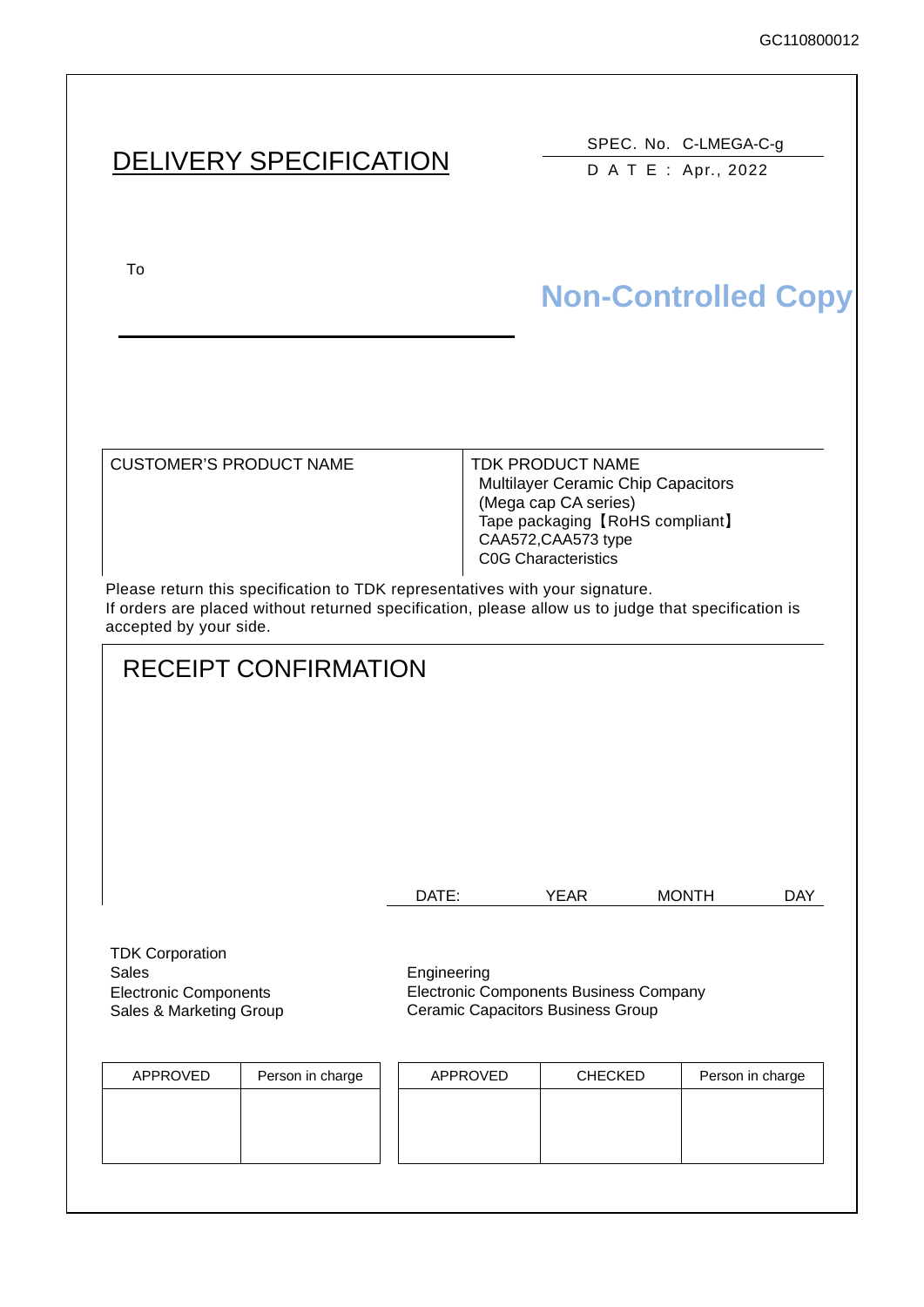# DELIVERY SPECIFICATION

SPEC. No. C-LMEGA-C-g DATE: Apr., 2022

To upon the acceptance of this spec. previous spec. previous spec. previous spec. previous spec. previous spec.

# **Non-Controlled Copy**

CUSTOMER'S PRODUCT NAME | TDK PRODUCT NAME

Multilayer Ceramic Chip Capacitors (Mega cap CA series) Tape packaging【RoHS compliant】 CAA572,CAA573 type C0G Characteristics

Please return this specification to TDK representatives with your signature. If orders are placed without returned specification, please allow us to judge that specification is accepted by your side.

# RECEIPT CONFIRMATION

| DATE: | YEAR | <b>MONTH</b> | DAY |
|-------|------|--------------|-----|
|       |      |              |     |

TDK Corporation Sales **Engineering** Electronic Components Sales & Marketing Group

Electronic Components Business Company Ceramic Capacitors Business Group

| APPROVED | Person in charge | APPROVED | <b>CHECKED</b> | Person in charge |
|----------|------------------|----------|----------------|------------------|
|          |                  |          |                |                  |
|          |                  |          |                |                  |
|          |                  |          |                |                  |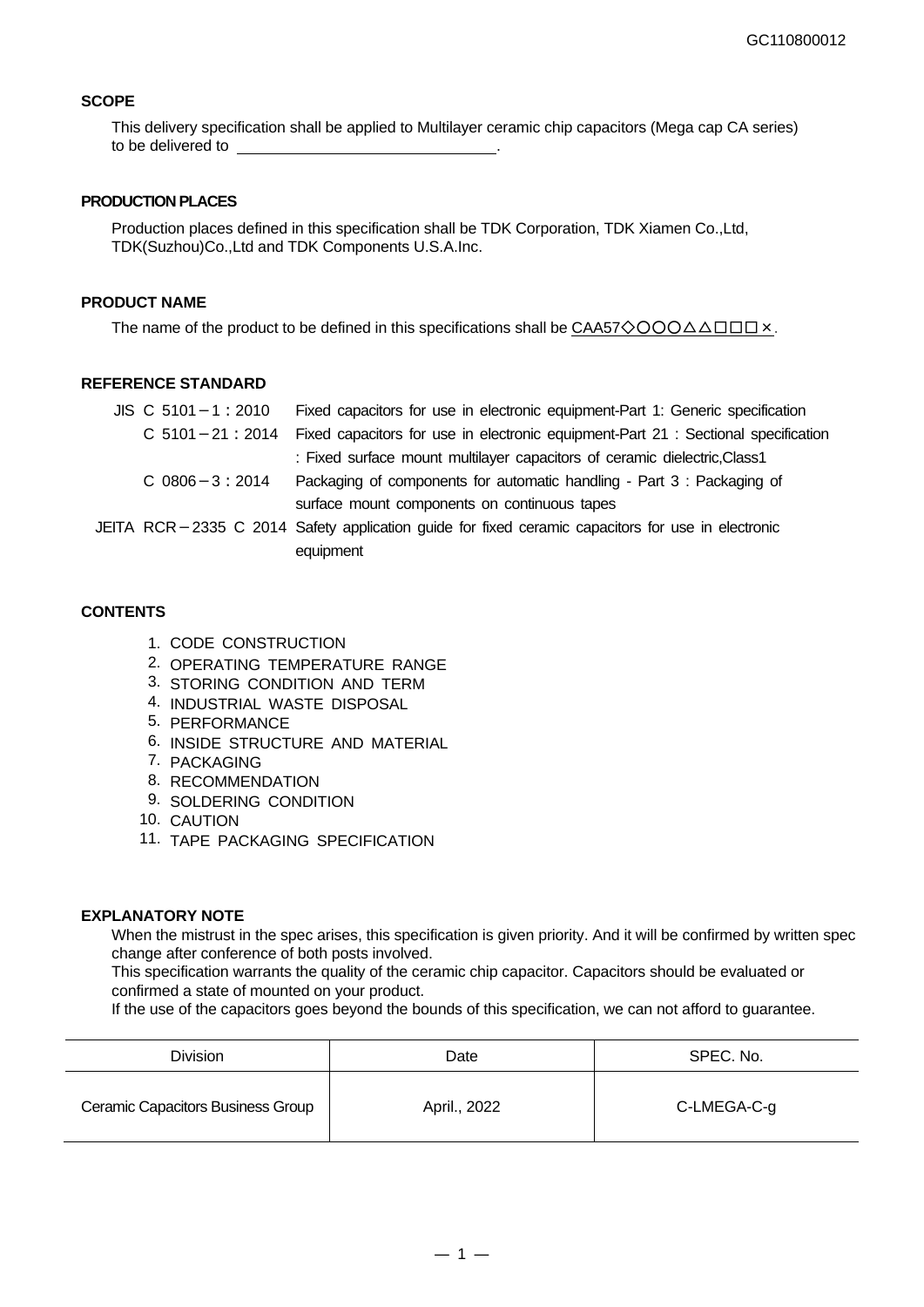#### **SCOPE**

This delivery specification shall be applied to Multilayer ceramic chip capacitors (Mega cap CA series) to be delivered to

#### **PRODUCTION PLACES**

Production places defined in this specification shall be TDK Corporation, TDK Xiamen Co.,Ltd, TDK(Suzhou)Co.,Ltd and TDK Components U.S.A.Inc.

#### **PRODUCT NAME**

The name of the product to be defined in this specifications shall be CAA57◇○○○△△□□□×.

#### **REFERENCE STANDARD**

| $JIS \, C \, 5101 - 1 : 2010$ | Fixed capacitors for use in electronic equipment-Part 1: Generic specification                    |
|-------------------------------|---------------------------------------------------------------------------------------------------|
| $C$ 5101 - 21 : 2014          | Fixed capacitors for use in electronic equipment-Part 21 : Sectional specification                |
|                               | : Fixed surface mount multilayer capacitors of ceramic dielectric, Class1                         |
| $C$ 0806 $-3:2014$            | Packaging of components for automatic handling - Part 3 : Packaging of                            |
|                               | surface mount components on continuous tapes                                                      |
|                               | JEITA RCR-2335 C 2014 Safety application guide for fixed ceramic capacitors for use in electronic |
|                               | equipment                                                                                         |

#### **CONTENTS**

- 1. CODE CONSTRUCTION
- 2. OPERATING TEMPERATURE RANGE
- 3. STORING CONDITION AND TERM
- 4. INDUSTRIAL WASTE DISPOSAL
- 5. PERFORMANCE
- 6. INSIDE STRUCTURE AND MATERIAL
- 7. PACKAGING
- 8. RECOMMENDATION
- 9. SOLDERING CONDITION
- 10. CAUTION
- 11. TAPE PACKAGING SPECIFICATION

#### **EXPLANATORY NOTE**

When the mistrust in the spec arises, this specification is given priority. And it will be confirmed by written spec change after conference of both posts involved.

This specification warrants the quality of the ceramic chip capacitor. Capacitors should be evaluated or confirmed a state of mounted on your product.

If the use of the capacitors goes beyond the bounds of this specification, we can not afford to guarantee.

| Division                          | Date         | SPEC. No.   |
|-----------------------------------|--------------|-------------|
| Ceramic Capacitors Business Group | April., 2022 | C-LMEGA-C-g |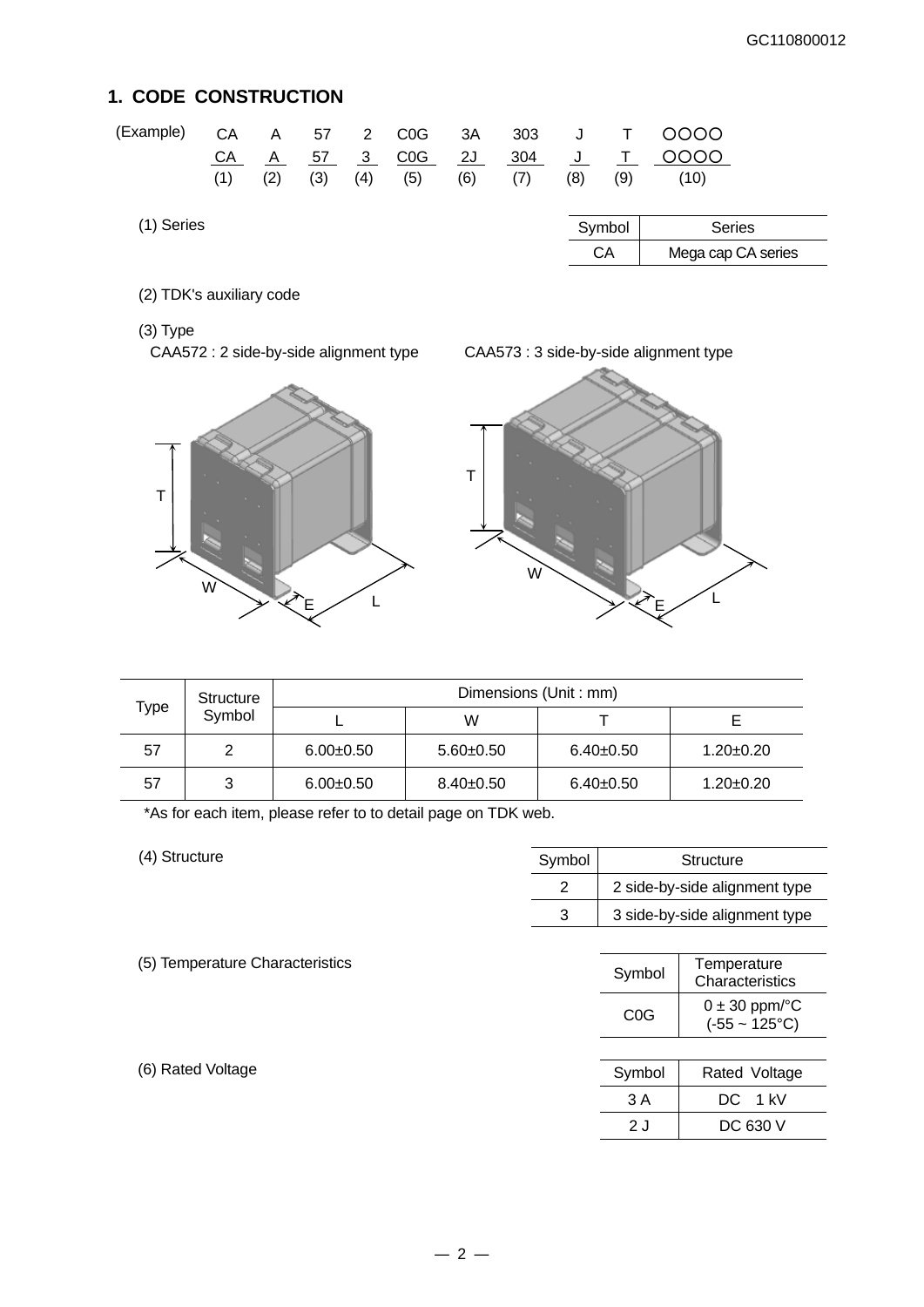## **1. CODE CONSTRUCTION**

| (Example)  | CА<br>CA<br>(1) | Α<br>A<br>(2) | 57<br>57<br>(3) | 2<br>- 3<br>(4) | C <sub>0</sub> G<br>C <sub>0</sub> G<br>(5) | 3A<br>2J<br>(6) | 303<br>304<br>(7) | (8) | (9)    | OOOO<br>೦೦೦೦<br>(10) |
|------------|-----------------|---------------|-----------------|-----------------|---------------------------------------------|-----------------|-------------------|-----|--------|----------------------|
| (1) Series |                 |               |                 |                 |                                             |                 |                   |     | Symbol | <b>Series</b>        |
|            |                 |               |                 |                 |                                             |                 |                   |     | CA     | Mega cap CA series   |

(2) TDK's auxiliary code

(3) Type







| Structure      |   | Dimensions (Unit: mm) |                 |                 |                 |  |  |
|----------------|---|-----------------------|-----------------|-----------------|-----------------|--|--|
| Type<br>Symbol |   | W                     |                 |                 |                 |  |  |
| 57             | າ | $6.00 + 0.50$         | $5.60 \pm 0.50$ | $6.40+0.50$     | 1.20±0.20       |  |  |
| 57             | 3 | $6.00 + 0.50$         | $8.40 \pm 0.50$ | $6.40 \pm 0.50$ | $1.20 \pm 0.20$ |  |  |

\*As for each item, please refer to to detail page on TDK web.

(4) Structure

| Symbol | Structure                     |
|--------|-------------------------------|
|        | 2 side-by-side alignment type |
| 3      | 3 side-by-side alignment type |

(6) Rated Voltage

|                                 | 3 |                  | 3 side-by-side alignment type                         |
|---------------------------------|---|------------------|-------------------------------------------------------|
| (5) Temperature Characteristics |   | Symbol           | Temperature                                           |
|                                 |   |                  | Characteristics                                       |
|                                 |   | C <sub>0</sub> G | $0 \pm 30$ ppm/ $\degree$ C<br>$(-55 - 125^{\circ}C)$ |

| Symbol | Rated Voltage |
|--------|---------------|
| 3 A    | DC 1 kV       |
| 2 J    | DC 630 V      |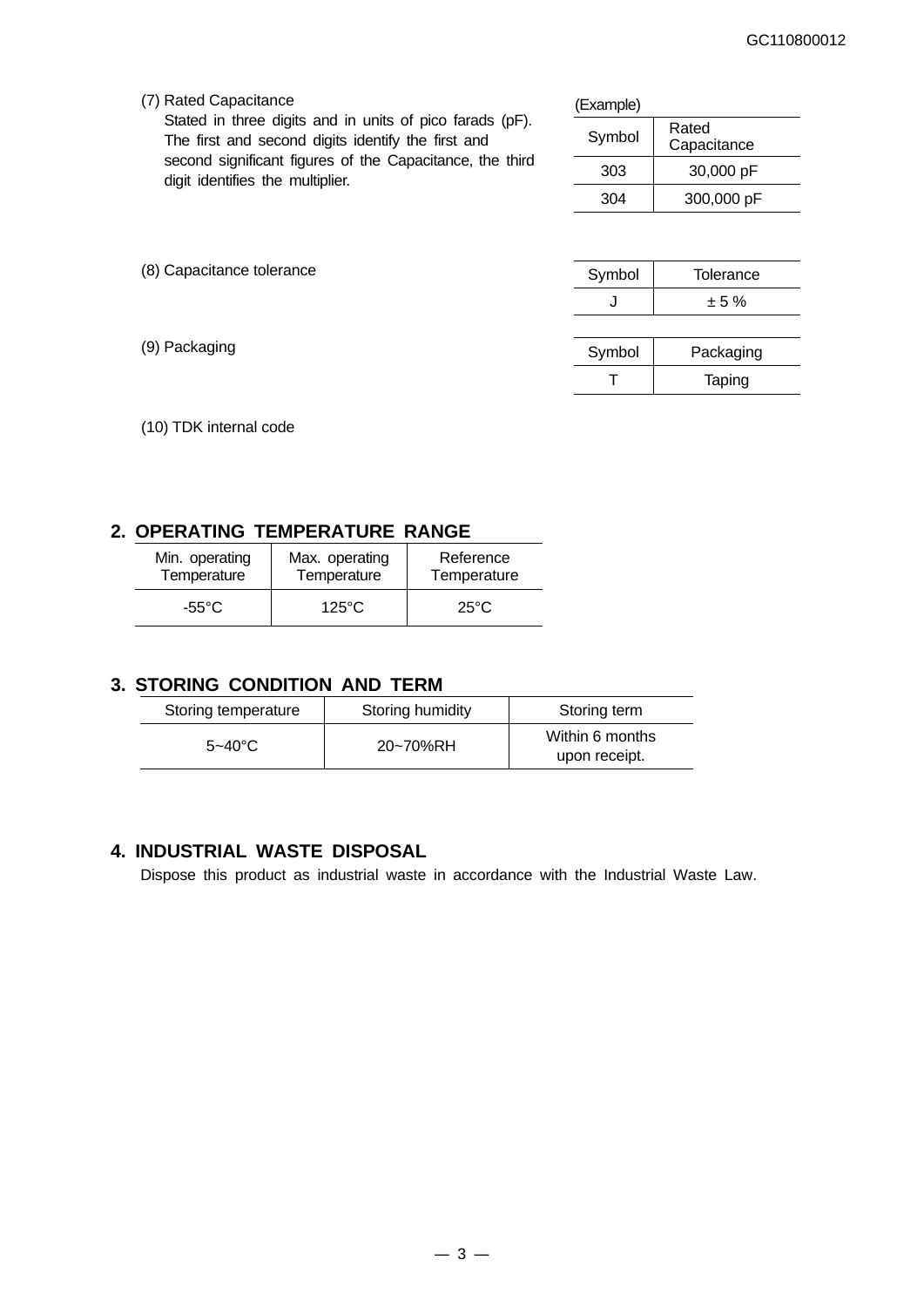(7) Rated Capacitance

Stated in three digits and in units of pico farads (pF). The first and second digits identify the first and second significant figures of the Capacitance, the third digit identifies the multiplier.

| (Example) |                      |
|-----------|----------------------|
| Symbol    | Rated<br>Capacitance |
| 303       | 30,000 pF            |
| 304       | 300,000 pF           |

| (8) Capacitance tolerance | Symbol | Tolerance |  |
|---------------------------|--------|-----------|--|
|                           | J      | ± 5%      |  |
|                           |        |           |  |
| (9) Packaging             | Symbol | Packaging |  |
|                           |        | Taping    |  |

(10) TDK internal code

### **2. OPERATING TEMPERATURE RANGE**

| Min. operating | Max. operating  | Reference      |
|----------------|-----------------|----------------|
| Temperature    | Temperature     | Temperature    |
| -55°C          | $125^{\circ}$ C | $25^{\circ}$ C |

### **3. STORING CONDITION AND TERM**

| Storing temperature | Storing humidity | Storing term                     |
|---------------------|------------------|----------------------------------|
| $5 - 40^{\circ}$ C  | 20~70%RH         | Within 6 months<br>upon receipt. |

### **4. INDUSTRIAL WASTE DISPOSAL**

Dispose this product as industrial waste in accordance with the Industrial Waste Law.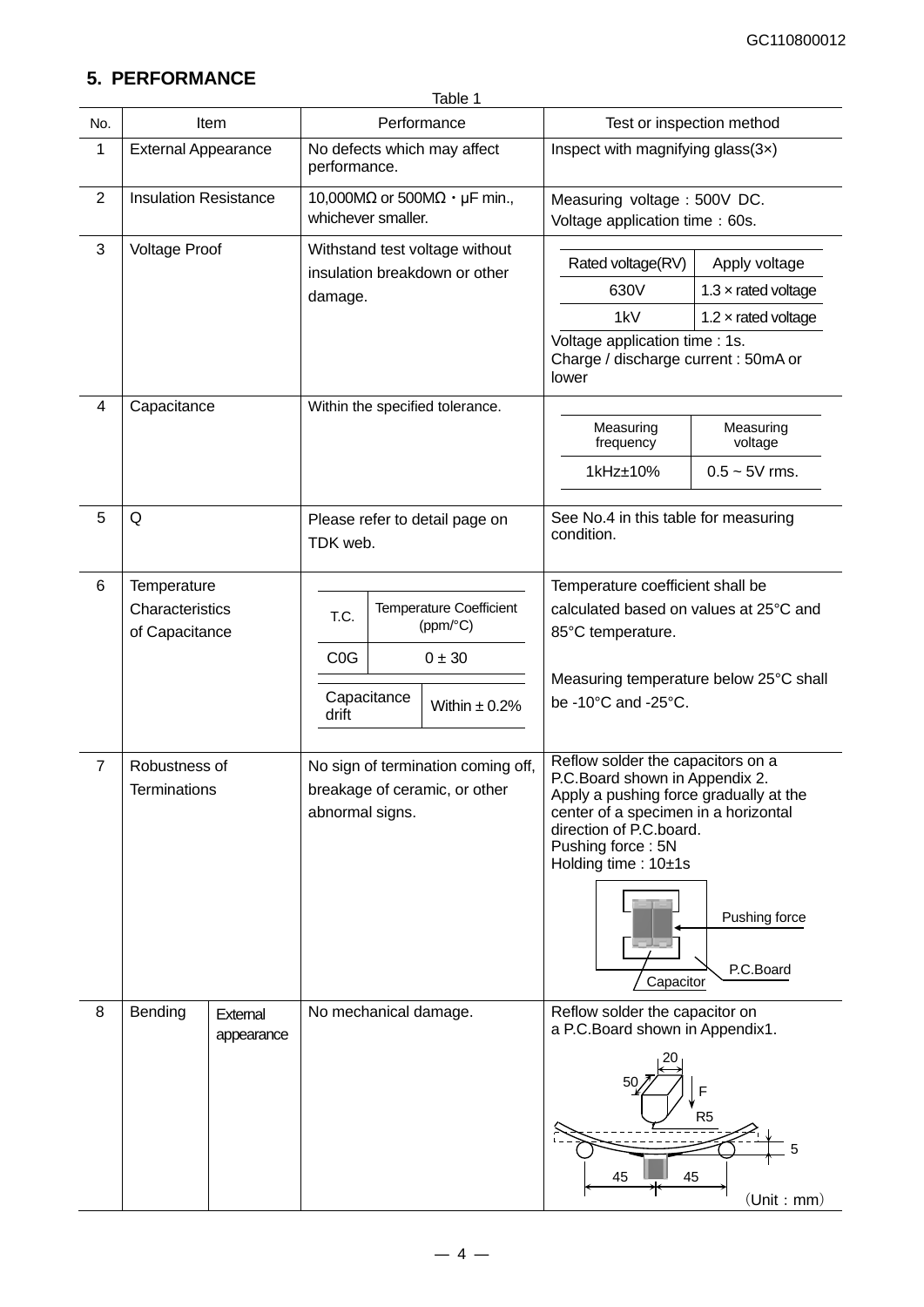## **5. PERFORMANCE**

|                |                                      |                        | Table 1               |             |                                                                     |                                                                                                                                                                                                                              |                                        |
|----------------|--------------------------------------|------------------------|-----------------------|-------------|---------------------------------------------------------------------|------------------------------------------------------------------------------------------------------------------------------------------------------------------------------------------------------------------------------|----------------------------------------|
| No.            |                                      | Item                   |                       |             | Performance                                                         | Test or inspection method                                                                                                                                                                                                    |                                        |
| 1              | <b>External Appearance</b>           |                        | performance.          |             | No defects which may affect                                         | Inspect with magnifying glass(3x)                                                                                                                                                                                            |                                        |
| $\overline{2}$ | <b>Insulation Resistance</b>         |                        | whichever smaller.    |             | 10,000M $\Omega$ or 500M $\Omega \cdot \mu$ F min.,                 | Measuring voltage: 500V DC.<br>Voltage application time: 60s.                                                                                                                                                                |                                        |
| $\mathbf{3}$   | <b>Voltage Proof</b>                 |                        |                       |             | Withstand test voltage without                                      | Rated voltage(RV)                                                                                                                                                                                                            | Apply voltage                          |
|                |                                      |                        |                       |             | insulation breakdown or other                                       | 630V                                                                                                                                                                                                                         | 1.3 $\times$ rated voltage             |
|                |                                      |                        | damage.               |             |                                                                     | 1kV                                                                                                                                                                                                                          | 1.2 $\times$ rated voltage             |
|                |                                      |                        |                       |             |                                                                     | Voltage application time : 1s.<br>Charge / discharge current : 50mA or<br>lower                                                                                                                                              |                                        |
| 4              | Capacitance                          |                        |                       |             | Within the specified tolerance.                                     |                                                                                                                                                                                                                              |                                        |
|                |                                      |                        |                       |             |                                                                     | Measuring<br>frequency                                                                                                                                                                                                       | Measuring<br>voltage                   |
|                |                                      |                        |                       |             |                                                                     | 1kHz±10%                                                                                                                                                                                                                     | $0.5 - 5V$ rms.                        |
| 5              | Q                                    |                        | TDK web.              |             | Please refer to detail page on                                      | See No.4 in this table for measuring<br>condition.                                                                                                                                                                           |                                        |
| 6              | Temperature                          |                        |                       |             |                                                                     | Temperature coefficient shall be                                                                                                                                                                                             |                                        |
|                | Characteristics                      |                        | T.C.                  |             | <b>Temperature Coefficient</b>                                      | calculated based on values at 25°C and                                                                                                                                                                                       |                                        |
|                | of Capacitance                       |                        |                       |             | (ppm/°C)                                                            | 85°C temperature.                                                                                                                                                                                                            |                                        |
|                |                                      |                        | C <sub>0</sub> G      |             | $0 \pm 30$                                                          |                                                                                                                                                                                                                              |                                        |
|                |                                      |                        | drift                 | Capacitance | Within $\pm$ 0.2%                                                   | be -10°C and -25°C.                                                                                                                                                                                                          | Measuring temperature below 25°C shall |
| $\overline{7}$ | Robustness of<br><b>Terminations</b> |                        | abnormal signs.       |             | No sign of termination coming off,<br>breakage of ceramic, or other | Reflow solder the capacitors on a<br>P.C.Board shown in Appendix 2.<br>Apply a pushing force gradually at the<br>center of a specimen in a horizontal<br>direction of P.C.board.<br>Pushing force: 5N<br>Holding time: 10±1s | Pushing force<br>P.C.Board             |
| 8              | Bending                              | External<br>appearance | No mechanical damage. |             |                                                                     | Capacitor<br>Reflow solder the capacitor on<br>a P.C.Board shown in Appendix1.<br>F<br>R <sub>5</sub><br>5<br>45<br>45<br>(Unit : mm)                                                                                        |                                        |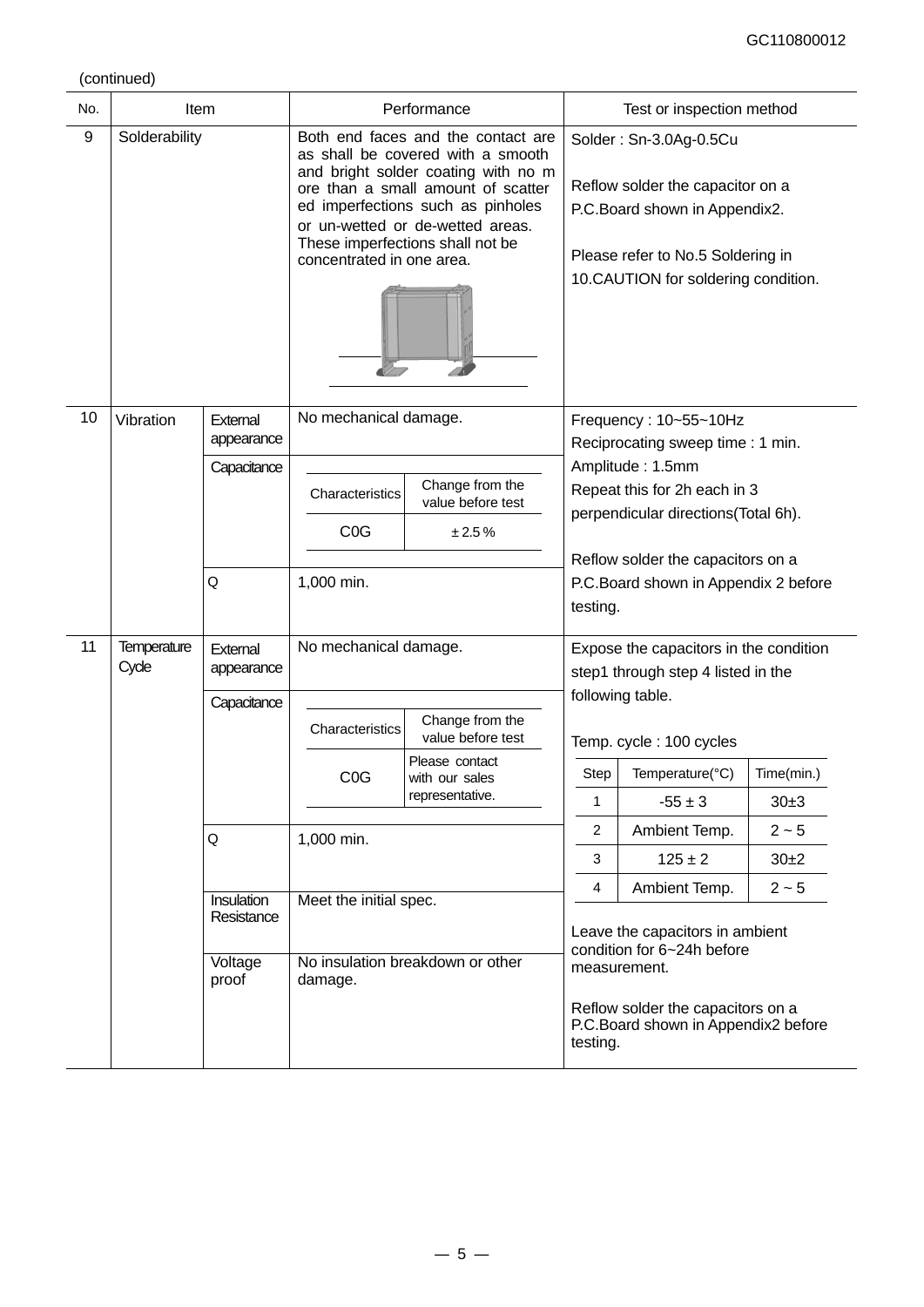(continued)

| No. | <b>Item</b>                 |                                              |                                                              | Performance                                                                                                                                                                                                                                                       |                     | Test or inspection method                                                                                                                                                  |                                |
|-----|-----------------------------|----------------------------------------------|--------------------------------------------------------------|-------------------------------------------------------------------------------------------------------------------------------------------------------------------------------------------------------------------------------------------------------------------|---------------------|----------------------------------------------------------------------------------------------------------------------------------------------------------------------------|--------------------------------|
| 9   | Solderability               |                                              | concentrated in one area.                                    | Both end faces and the contact are<br>as shall be covered with a smooth<br>and bright solder coating with no m<br>ore than a small amount of scatter<br>ed imperfections such as pinholes<br>or un-wetted or de-wetted areas.<br>These imperfections shall not be |                     | Solder: Sn-3.0Ag-0.5Cu<br>Reflow solder the capacitor on a<br>P.C.Board shown in Appendix2.<br>Please refer to No.5 Soldering in<br>10.CAUTION for soldering condition.    |                                |
| 10  | Vibration                   | External<br>appearance<br>Capacitance        | No mechanical damage.<br>Characteristics<br>C <sub>0</sub> G | Change from the<br>value before test<br>± 2.5%                                                                                                                                                                                                                    |                     | Frequency: 10~55~10Hz<br>Reciprocating sweep time: 1 min.<br>Amplitude: 1.5mm<br>Repeat this for 2h each in 3<br>perpendicular directions(Total 6h).                       |                                |
|     |                             | Q                                            | 1,000 min.                                                   |                                                                                                                                                                                                                                                                   | testing.            | Reflow solder the capacitors on a<br>P.C.Board shown in Appendix 2 before                                                                                                  |                                |
| 11  | <b>Temperature</b><br>Cycle | External<br>appearance                       | No mechanical damage.                                        |                                                                                                                                                                                                                                                                   |                     | Expose the capacitors in the condition<br>step1 through step 4 listed in the<br>following table.                                                                           |                                |
|     |                             | Capacitance                                  | Characteristics<br>C <sub>0</sub> G                          | Change from the<br>value before test<br>Please contact<br>with our sales<br>representative.                                                                                                                                                                       | Step<br>1           | Temp. cycle: 100 cycles<br>Temperature(°C)<br>$-55 \pm 3$                                                                                                                  | Time(min.)<br>30±3             |
|     |                             | Q                                            | 1,000 min.                                                   |                                                                                                                                                                                                                                                                   | $\overline{2}$<br>3 | Ambient Temp.<br>$125 \pm 2$                                                                                                                                               | $2 \sim 5$<br>30 <sub>±2</sub> |
|     |                             | Insulation<br>Resistance<br>Voltage<br>proof | Meet the initial spec.<br>damage.                            | No insulation breakdown or other                                                                                                                                                                                                                                  | 4<br>testing.       | Ambient Temp.<br>Leave the capacitors in ambient<br>condition for 6~24h before<br>measurement.<br>Reflow solder the capacitors on a<br>P.C.Board shown in Appendix2 before | $2 - 5$                        |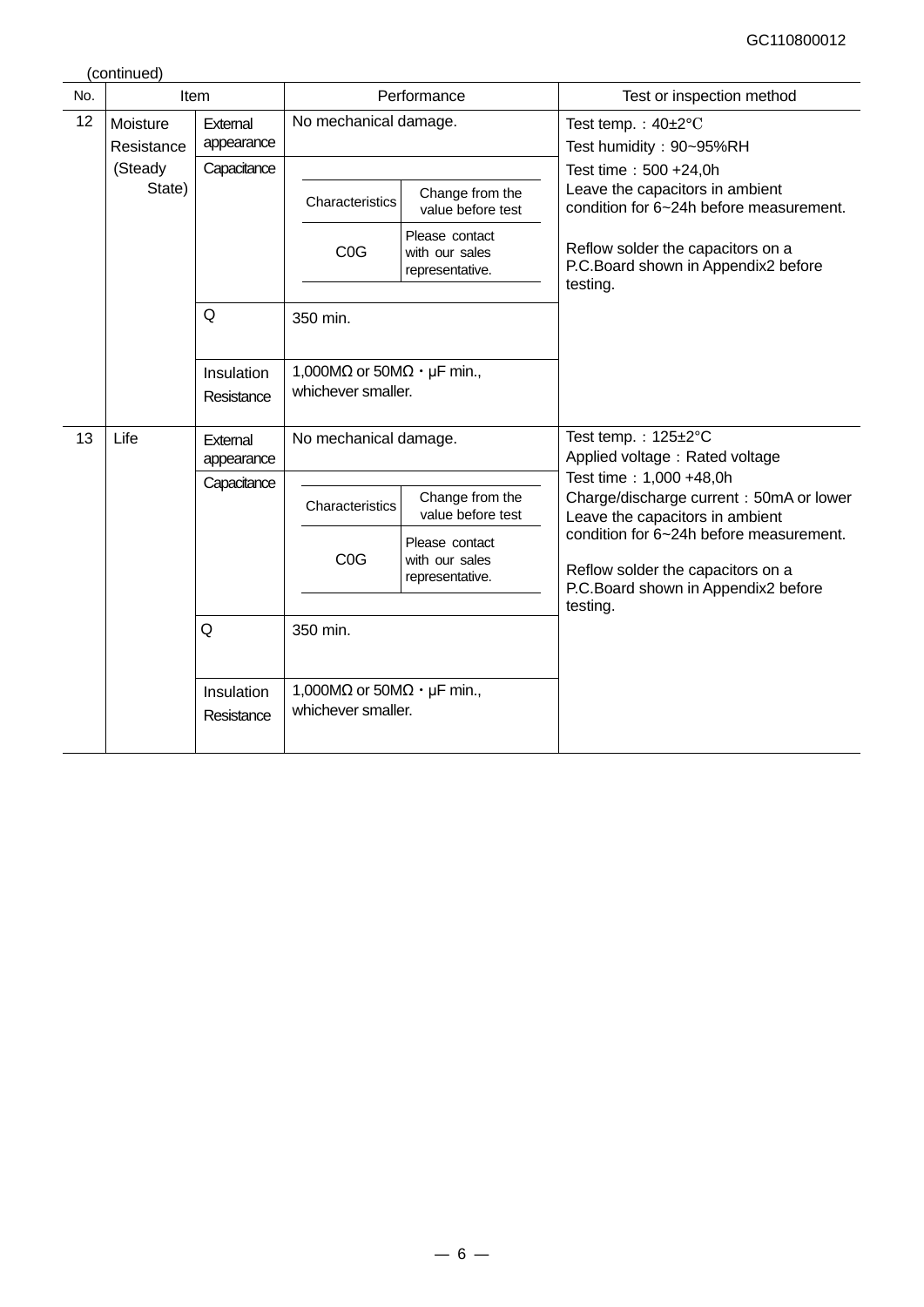(continued)

| No. |                        | Item                     |                                                                         | Performance                                         | Test or inspection method                                                                                                       |
|-----|------------------------|--------------------------|-------------------------------------------------------------------------|-----------------------------------------------------|---------------------------------------------------------------------------------------------------------------------------------|
| 12  | Moisture<br>Resistance | External<br>appearance   | No mechanical damage.                                                   |                                                     | Test temp.: $40\pm2^{\circ}$ C<br>Test humidity: 90~95%RH                                                                       |
|     | (Steady<br>State)      | Capacitance              | Characteristics                                                         | Change from the<br>value before test                | Test time: 500 +24,0h<br>Leave the capacitors in ambient<br>condition for 6~24h before measurement.                             |
|     |                        |                          | C <sub>0</sub> G                                                        | Please contact<br>with our sales<br>representative. | Reflow solder the capacitors on a<br>P.C.Board shown in Appendix2 before<br>testing.                                            |
|     |                        | Q                        | 350 min.                                                                |                                                     |                                                                                                                                 |
|     |                        | Insulation<br>Resistance | 1,000M $\Omega$ or 50M $\Omega \cdot \mu$ F min.,<br>whichever smaller. |                                                     |                                                                                                                                 |
| 13  | Life                   | External<br>appearance   | No mechanical damage.                                                   |                                                     | Test temp.: 125±2°C<br>Applied voltage: Rated voltage                                                                           |
|     |                        | Capacitance              | Characteristics                                                         | Change from the<br>value before test                | Test time: 1,000 +48,0h<br>Charge/discharge current: 50mA or lower<br>Leave the capacitors in ambient                           |
|     |                        |                          | C <sub>0</sub> G                                                        | Please contact<br>with our sales<br>representative. | condition for 6~24h before measurement.<br>Reflow solder the capacitors on a<br>P.C.Board shown in Appendix2 before<br>testing. |
|     |                        | Q                        | 350 min.                                                                |                                                     |                                                                                                                                 |
|     |                        | Insulation<br>Resistance | 1,000M $\Omega$ or 50M $\Omega \cdot \mu$ F min.,<br>whichever smaller. |                                                     |                                                                                                                                 |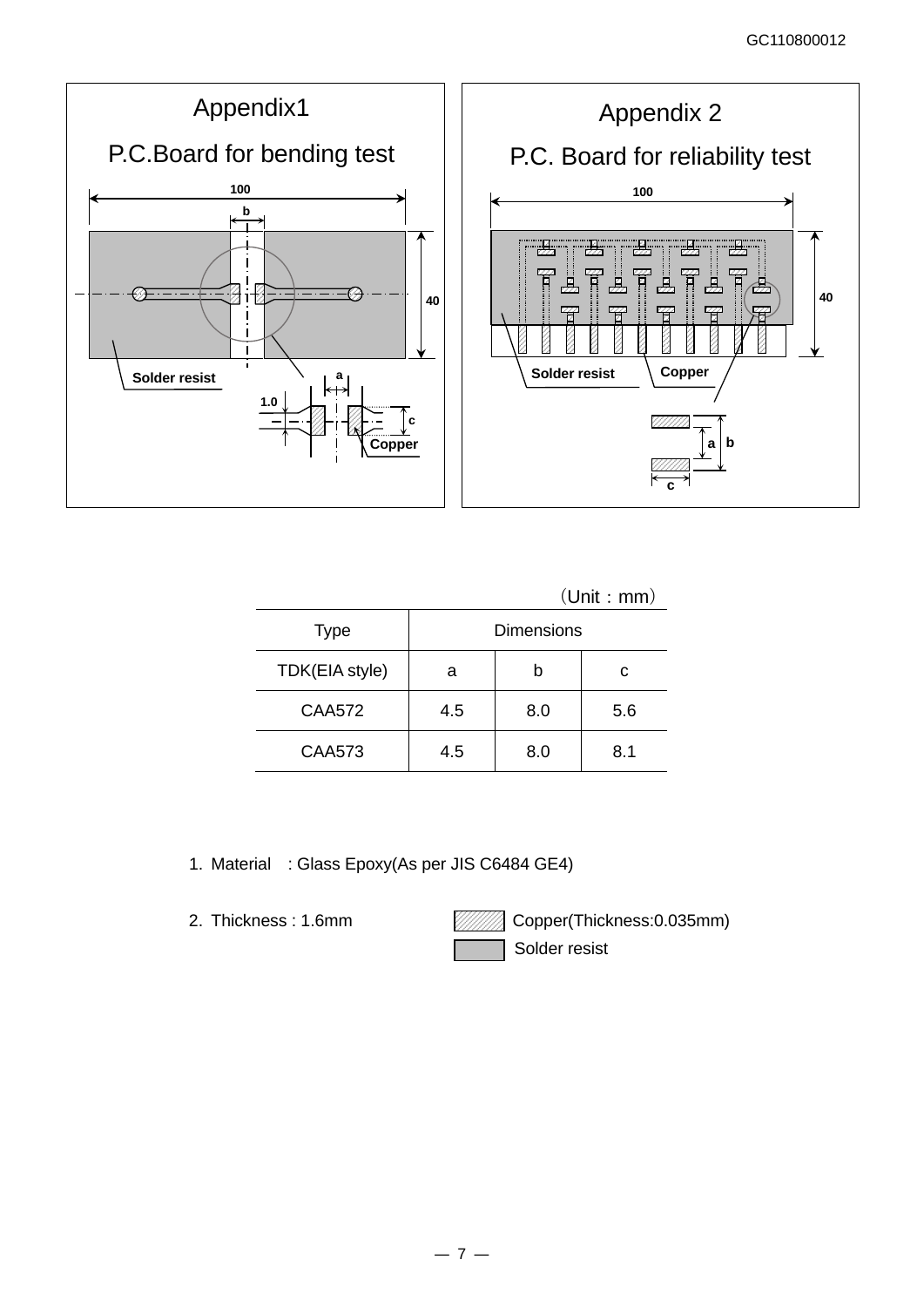

(Unit:mm)

| <b>Type</b>    | <b>Dimensions</b> |     |     |
|----------------|-------------------|-----|-----|
| TDK(EIA style) | а                 |     | c   |
| <b>CAA572</b>  | 4.5               | 8.0 | 5.6 |
| <b>CAA573</b>  | 4.5               | 8.0 | 8.1 |

1. Material : Glass Epoxy(As per JIS C6484 GE4)

2. Thickness: 1.6mm **Copper(Thickness: 0.035mm)** Solder resist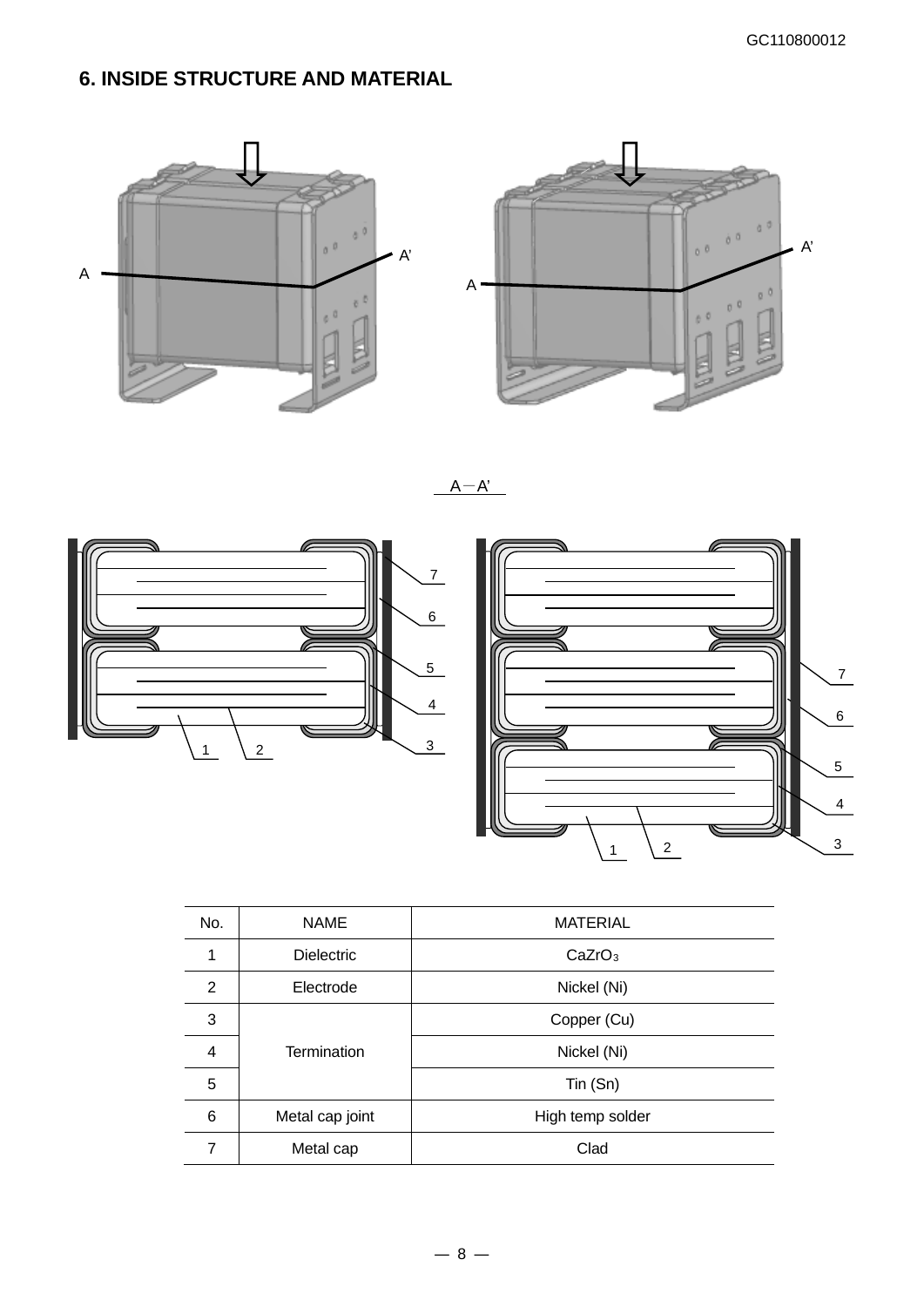# **6. INSIDE STRUCTURE AND MATERIAL**





 $A-A'$ 





| No.            | <b>NAME</b>       | <b>MATERIAL</b>    |
|----------------|-------------------|--------------------|
| 1              | <b>Dielectric</b> | CaZrO <sub>3</sub> |
| $\overline{2}$ | Electrode         | Nickel (Ni)        |
| 3              |                   | Copper (Cu)        |
| 4              | Termination       | Nickel (Ni)        |
| 5              |                   | Tin (Sn)           |
| 6              | Metal cap joint   | High temp solder   |
| 7              | Metal cap         | Clad               |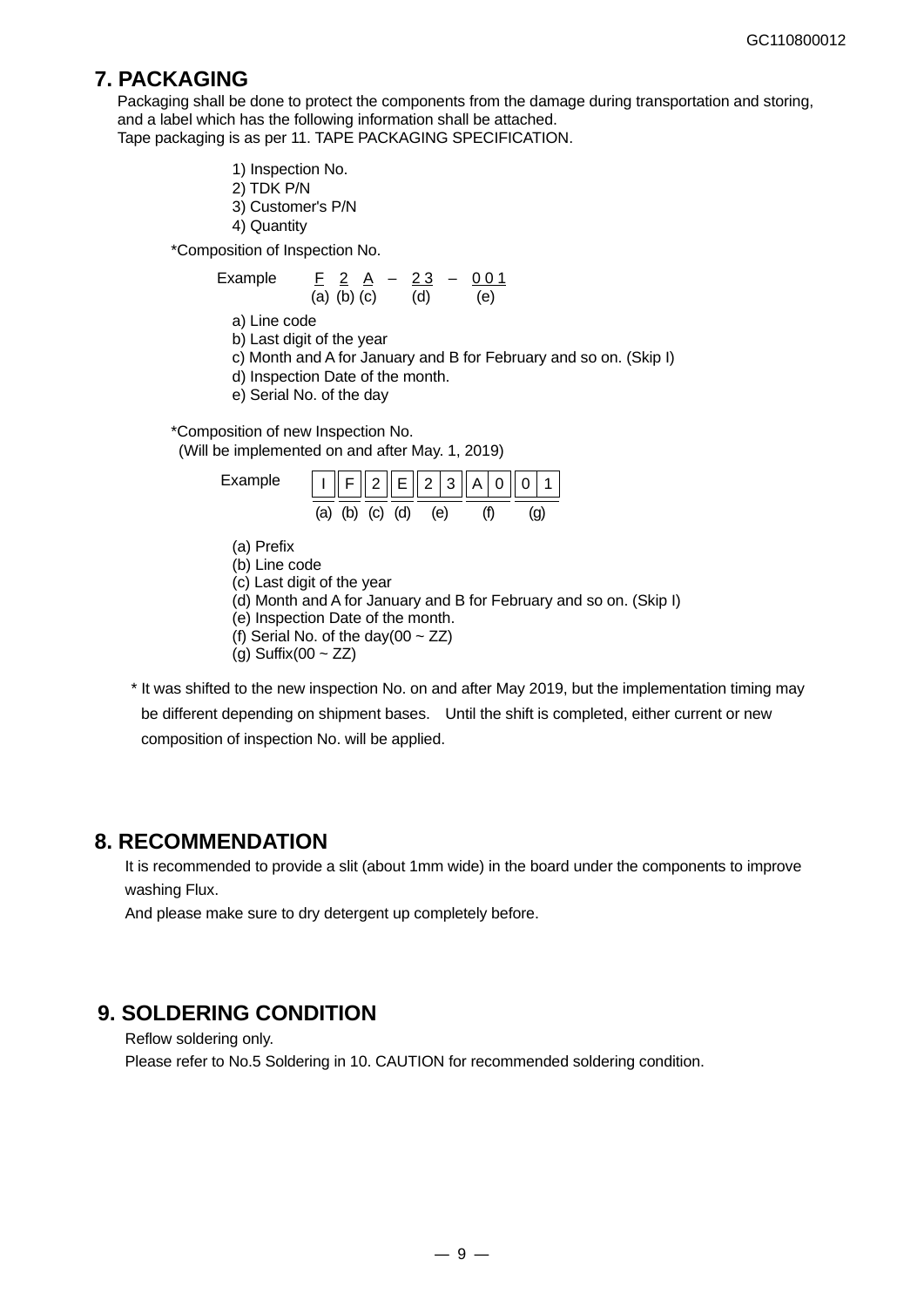## **7. PACKAGING**

Packaging shall be done to protect the components from the damage during transportation and storing. and a label which has the following information shall be attached. Tape packaging is as per 11. TAPE PACKAGING SPECIFICATION.

- 1) Inspection No. 2) TDK P/N
- 3) Customer's P/N
- 4) Quantity

\*Composition of Inspection No.

Example 
$$
\frac{F}{(a)} = \frac{2A}{(b)} = \frac{23}{(d)} = \frac{0.01}{(e)}
$$

a) Line code

- b) Last digit of the year
- c) Month and A for January and B for February and so on. (Skip I)
- d) Inspection Date of the month.
- e) Serial No. of the day

\*Composition of new Inspection No. (Will be implemented on and after May. 1, 2019)

| Example                                                 | 2  E  2 3                                                                                                                                                        | А<br>0 |    |  |
|---------------------------------------------------------|------------------------------------------------------------------------------------------------------------------------------------------------------------------|--------|----|--|
|                                                         | (a) (b) (c) (d) (e)                                                                                                                                              |        | (a |  |
| (a) Prefix<br>(b) Line code<br>(g) Suffix(00 $\sim$ ZZ) | (c) Last digit of the year<br>(d) Month and A for January and B for February and<br>(e) Inspection Date of the month.<br>(f) Serial No. of the day(00 $\sim$ ZZ) |        |    |  |

\* It was shifted to the new inspection No. on and after May 2019, but the implementation timing may be different depending on shipment bases. Until the shift is completed, either current or new composition of inspection No. will be applied.

so on. (Skip I)

### **8. RECOMMENDATION**

It is recommended to provide a slit (about 1mm wide) in the board under the components to improve washing Flux.

And please make sure to dry detergent up completely before.

## **9. SOLDERING CONDITION**

Reflow soldering only.

Please refer to No.5 Soldering in 10. CAUTION for recommended soldering condition.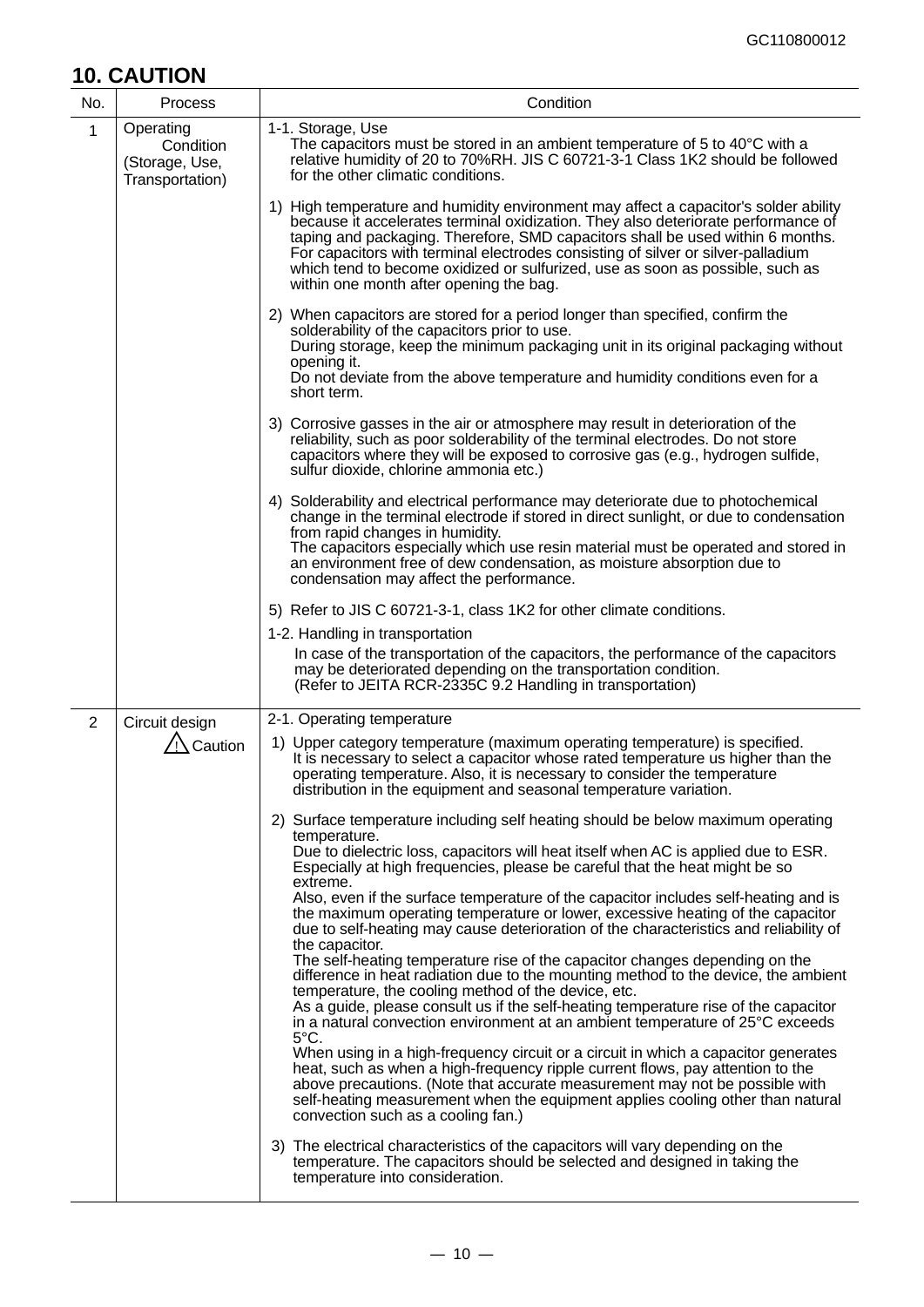# **10. CAUTION**

| No.            | Process                                                     | Condition                                                                                                                                                                                                                                                                                                                                                                                                                                                                   |
|----------------|-------------------------------------------------------------|-----------------------------------------------------------------------------------------------------------------------------------------------------------------------------------------------------------------------------------------------------------------------------------------------------------------------------------------------------------------------------------------------------------------------------------------------------------------------------|
| 1              | Operating<br>Condition<br>(Storage, Use,<br>Transportation) | 1-1. Storage, Use<br>The capacitors must be stored in an ambient temperature of 5 to 40°C with a<br>relative humidity of 20 to 70%RH. JIS C 60721-3-1 Class 1K2 should be followed<br>for the other climatic conditions.                                                                                                                                                                                                                                                    |
|                |                                                             | 1) High temperature and humidity environment may affect a capacitor's solder ability<br>because it accelerates terminal oxidization. They also deteriorate performance of<br>taping and packaging. Therefore, SMD capacitors shall be used within 6 months.<br>For capacitors with terminal electrodes consisting of silver or silver-palladium<br>which tend to become oxidized or sulfurized, use as soon as possible, such as<br>within one month after opening the bag. |
|                |                                                             | 2) When capacitors are stored for a period longer than specified, confirm the<br>solderability of the capacitors prior to use.<br>During storage, keep the minimum packaging unit in its original packaging without<br>opening it.<br>Do not deviate from the above temperature and humidity conditions even for a<br>short term.                                                                                                                                           |
|                |                                                             | 3) Corrosive gasses in the air or atmosphere may result in deterioration of the<br>reliability, such as poor solderability of the terminal electrodes. Do not store<br>capacitors where they will be exposed to corrosive gas (e.g., hydrogen sulfide,<br>sulfur dioxide, chlorine ammonia etc.)                                                                                                                                                                            |
|                |                                                             | 4) Solderability and electrical performance may deteriorate due to photochemical<br>change in the terminal electrode if stored in direct sunlight, or due to condensation<br>from rapid changes in humidity.<br>The capacitors especially which use resin material must be operated and stored in<br>an environment free of dew condensation, as moisture absorption due to<br>condensation may affect the performance.                                                     |
|                |                                                             | 5) Refer to JIS C 60721-3-1, class 1K2 for other climate conditions.                                                                                                                                                                                                                                                                                                                                                                                                        |
|                |                                                             | 1-2. Handling in transportation<br>In case of the transportation of the capacitors, the performance of the capacitors<br>may be deteriorated depending on the transportation condition.<br>(Refer to JEITA RCR-2335C 9.2 Handling in transportation)                                                                                                                                                                                                                        |
| $\overline{2}$ | Circuit design                                              | 2-1. Operating temperature                                                                                                                                                                                                                                                                                                                                                                                                                                                  |
|                | Caution                                                     | 1) Upper category temperature (maximum operating temperature) is specified.<br>It is necessary to select a capacitor whose rated temperature us higher than the<br>operating temperature. Also, it is necessary to consider the temperature<br>distribution in the equipment and seasonal temperature variation.                                                                                                                                                            |
|                |                                                             | 2) Surface temperature including self heating should be below maximum operating<br>temperature.<br>Due to dielectric loss, capacitors will heat itself when AC is applied due to ESR.<br>Especially at high frequencies, please be careful that the heat might be so                                                                                                                                                                                                        |
|                |                                                             | extreme.<br>Also, even if the surface temperature of the capacitor includes self-heating and is<br>the maximum operating temperature or lower, excessive heating of the capacitor<br>due to self-heating may cause deterioration of the characteristics and reliability of<br>the capacitor.                                                                                                                                                                                |
|                |                                                             | The self-heating temperature rise of the capacitor changes depending on the<br>difference in heat radiation due to the mounting method to the device, the ambient<br>temperature, the cooling method of the device, etc.<br>As a guide, please consult us if the self-heating temperature rise of the capacitor<br>in a natural convection environment at an ambient temperature of 25°C exceeds                                                                            |
|                |                                                             | $5^{\circ}$ C.<br>When using in a high-frequency circuit or a circuit in which a capacitor generates<br>heat, such as when a high-frequency ripple current flows, pay attention to the<br>above precautions. (Note that accurate measurement may not be possible with<br>self-heating measurement when the equipment applies cooling other than natural<br>convection such as a cooling fan.)                                                                               |
|                |                                                             | 3) The electrical characteristics of the capacitors will vary depending on the<br>temperature. The capacitors should be selected and designed in taking the<br>temperature into consideration.                                                                                                                                                                                                                                                                              |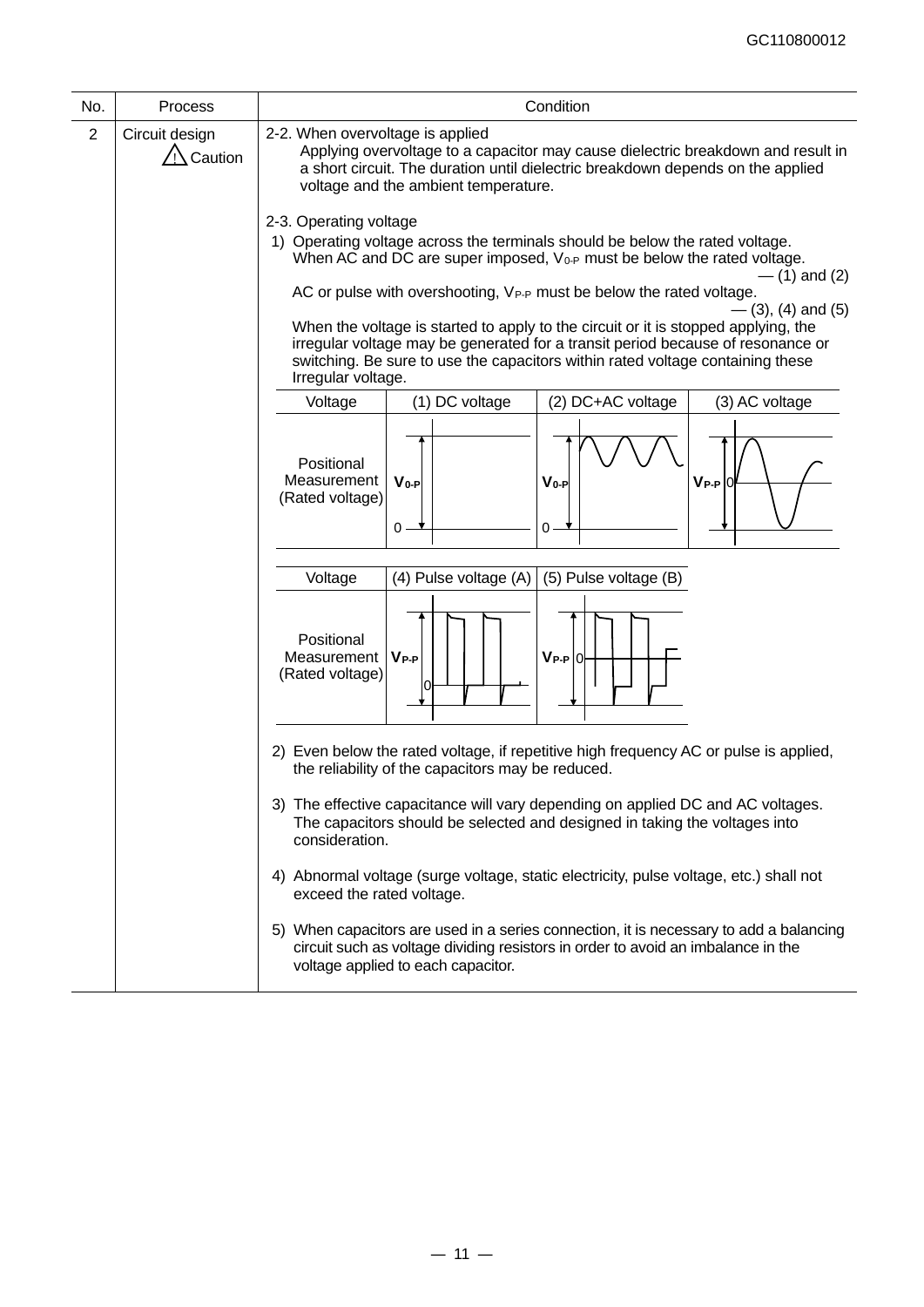| No.            | Process                               | Condition                                                                                                                                                                                                                                                                                                                                                                                                                                                                                                                                                                                                                                                                |
|----------------|---------------------------------------|--------------------------------------------------------------------------------------------------------------------------------------------------------------------------------------------------------------------------------------------------------------------------------------------------------------------------------------------------------------------------------------------------------------------------------------------------------------------------------------------------------------------------------------------------------------------------------------------------------------------------------------------------------------------------|
| $\overline{2}$ | Circuit design<br>$\bigwedge$ Caution | 2-2. When overvoltage is applied<br>Applying overvoltage to a capacitor may cause dielectric breakdown and result in<br>a short circuit. The duration until dielectric breakdown depends on the applied<br>voltage and the ambient temperature.                                                                                                                                                                                                                                                                                                                                                                                                                          |
|                |                                       | 2-3. Operating voltage<br>1) Operating voltage across the terminals should be below the rated voltage.<br>When AC and DC are super imposed, $V_{0-P}$ must be below the rated voltage.<br>$-$ (1) and (2)<br>AC or pulse with overshooting, VP-P must be below the rated voltage.<br>$-$ (3), (4) and (5)<br>When the voltage is started to apply to the circuit or it is stopped applying, the<br>irregular voltage may be generated for a transit period because of resonance or<br>switching. Be sure to use the capacitors within rated voltage containing these<br>Irregular voltage.                                                                               |
|                |                                       | (2) DC+AC voltage<br>Voltage<br>(1) DC voltage<br>(3) AC voltage<br>Positional<br>Measurement<br>$V_{0-P}$<br>$V_{0-P}$<br>$V_{P-P}$ <sup>0</sup><br>(Rated voltage)<br>$0 -$<br>0 -                                                                                                                                                                                                                                                                                                                                                                                                                                                                                     |
|                |                                       | (5) Pulse voltage (B)<br>Voltage<br>(4) Pulse voltage (A)<br>Positional<br>$V_{P-P}$<br>$V_{P-P}$ 0<br>Measurement<br>(Rated voltage)                                                                                                                                                                                                                                                                                                                                                                                                                                                                                                                                    |
|                |                                       | 2) Even below the rated voltage, if repetitive high frequency AC or pulse is applied,<br>the reliability of the capacitors may be reduced.<br>3) The effective capacitance will vary depending on applied DC and AC voltages.<br>The capacitors should be selected and designed in taking the voltages into<br>consideration.<br>4) Abnormal voltage (surge voltage, static electricity, pulse voltage, etc.) shall not<br>exceed the rated voltage.<br>5) When capacitors are used in a series connection, it is necessary to add a balancing<br>circuit such as voltage dividing resistors in order to avoid an imbalance in the<br>voltage applied to each capacitor. |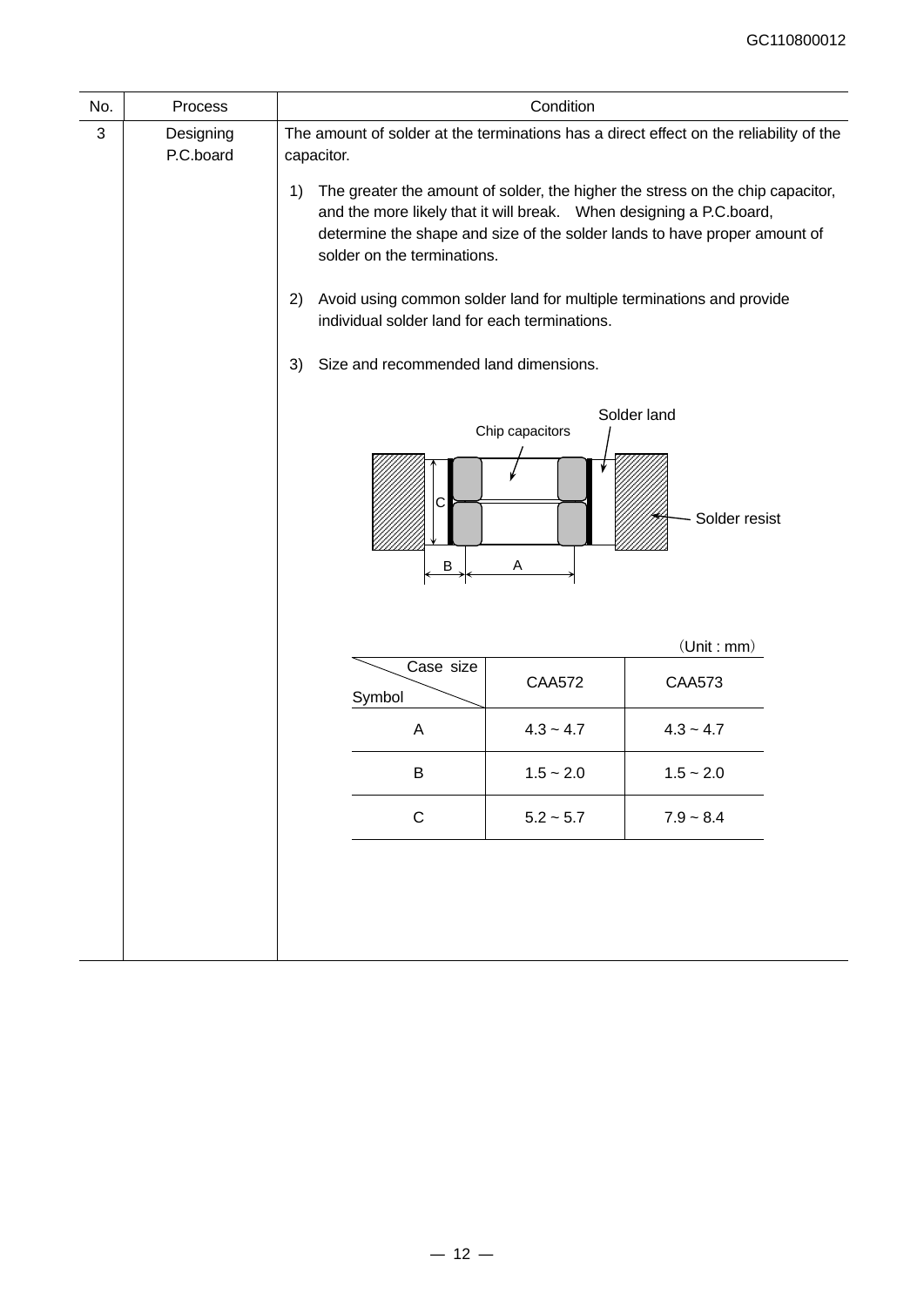| No. | Process                |                                                                                                                                                                                                                                   | Condition       |                                                                                                                                                                                                                                                                                                                                              |
|-----|------------------------|-----------------------------------------------------------------------------------------------------------------------------------------------------------------------------------------------------------------------------------|-----------------|----------------------------------------------------------------------------------------------------------------------------------------------------------------------------------------------------------------------------------------------------------------------------------------------------------------------------------------------|
| 3   | Designing<br>P.C.board | capacitor.<br>1)<br>and the more likely that it will break. When designing a P.C.board,<br>solder on the terminations.<br>2)<br>individual solder land for each terminations.<br>Size and recommended land dimensions.<br>3)<br>С | Chip capacitors | The amount of solder at the terminations has a direct effect on the reliability of the<br>The greater the amount of solder, the higher the stress on the chip capacitor,<br>determine the shape and size of the solder lands to have proper amount of<br>Avoid using common solder land for multiple terminations and provide<br>Solder land |
|     |                        | B                                                                                                                                                                                                                                 | A               | Solder resist                                                                                                                                                                                                                                                                                                                                |
|     |                        |                                                                                                                                                                                                                                   |                 | (Unit : mm)                                                                                                                                                                                                                                                                                                                                  |
|     |                        | Case size<br>Symbol                                                                                                                                                                                                               | <b>CAA572</b>   | <b>CAA573</b>                                                                                                                                                                                                                                                                                                                                |
|     |                        | Α                                                                                                                                                                                                                                 | $4.3 - 4.7$     | $4.3 - 4.7$                                                                                                                                                                                                                                                                                                                                  |
|     |                        | B                                                                                                                                                                                                                                 | $1.5 - 2.0$     | $1.5 - 2.0$                                                                                                                                                                                                                                                                                                                                  |
|     |                        |                                                                                                                                                                                                                                   |                 |                                                                                                                                                                                                                                                                                                                                              |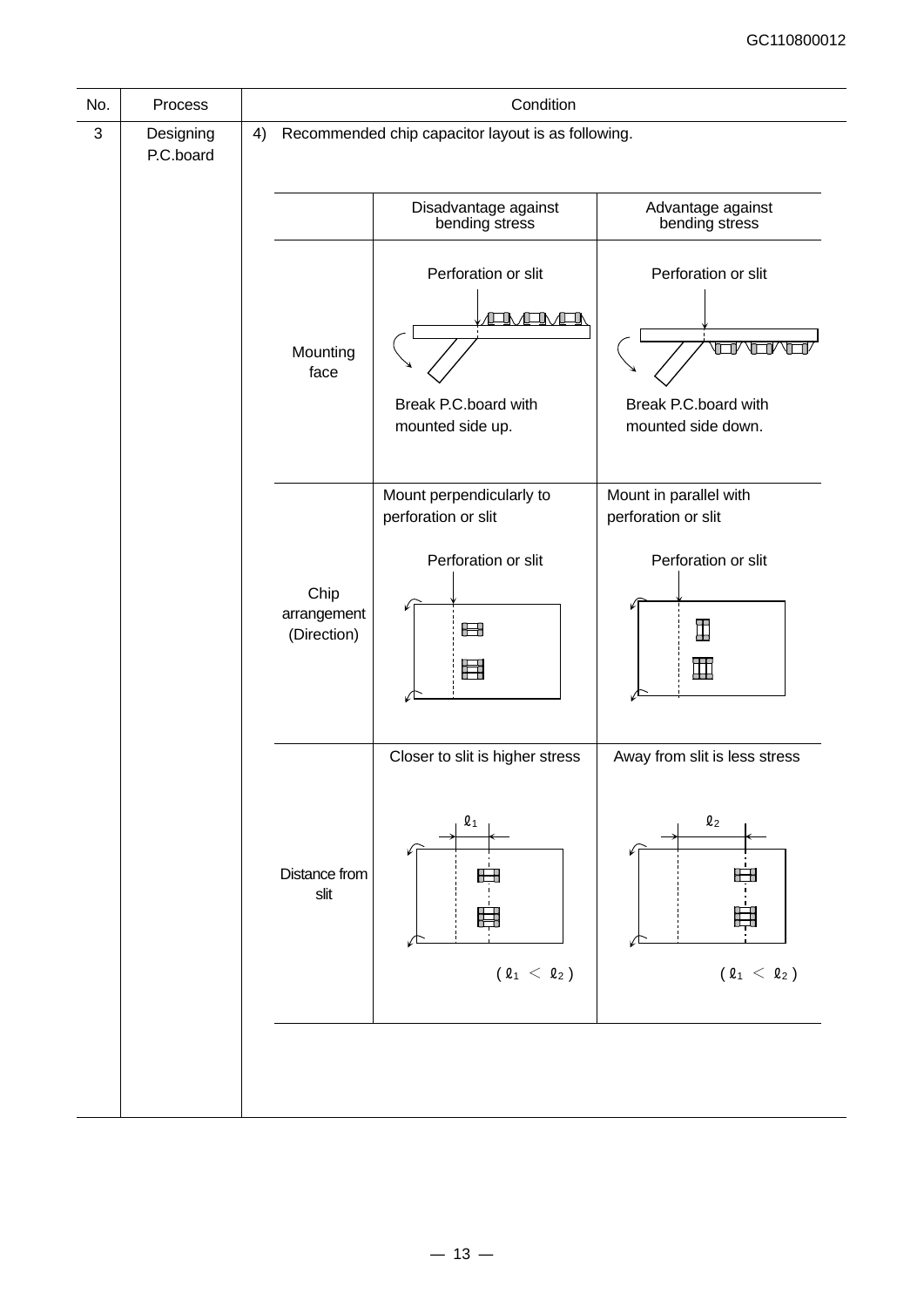|                                                                      | Condition                                                              |                                    |    | Process                | No.          |
|----------------------------------------------------------------------|------------------------------------------------------------------------|------------------------------------|----|------------------------|--------------|
|                                                                      | Recommended chip capacitor layout is as following.                     |                                    | 4) | Designing<br>P.C.board | $\mathbf{3}$ |
| Advantage against<br>bending stress                                  | Disadvantage against<br>bending stress                                 |                                    |    |                        |              |
| Perforation or slit<br>TVT<br>╓                                      | Perforation or slit<br><b>IN ALIMAN</b>                                |                                    |    |                        |              |
| Break P.C.board with<br>mounted side down.                           | Break P.C.board with<br>mounted side up.                               | Mounting<br>face                   |    |                        |              |
| Mount in parallel with<br>perforation or slit<br>Perforation or slit | Mount perpendicularly to<br>perforation or slit<br>Perforation or slit |                                    |    |                        |              |
| I<br>$\mathbb H$                                                     | Ħ<br>量                                                                 | Chip<br>arrangement<br>(Direction) |    |                        |              |
| Away from slit is less stress                                        | Closer to slit is higher stress                                        |                                    |    |                        |              |
| $\mathbf{\ell}_{2}$<br>$(\,\varrho_{\,1}\,\,<\,\,\varrho_{\,2}\,)$   | $Q_1$<br>Æ<br>$(\,\varrho_{1}\,<\,\varrho_{2}\,)$                      | Distance from<br>slit              |    |                        |              |
|                                                                      |                                                                        |                                    |    |                        |              |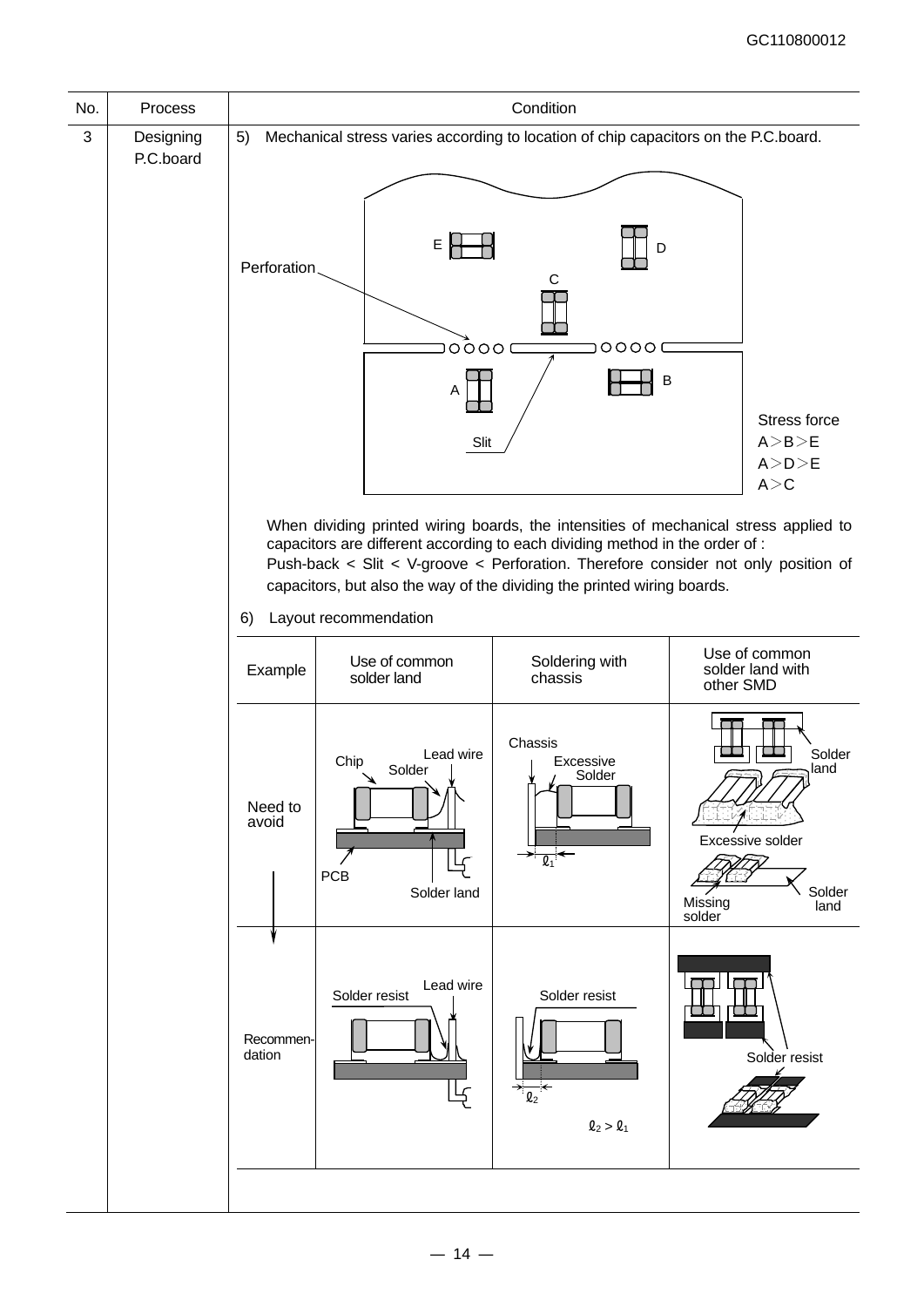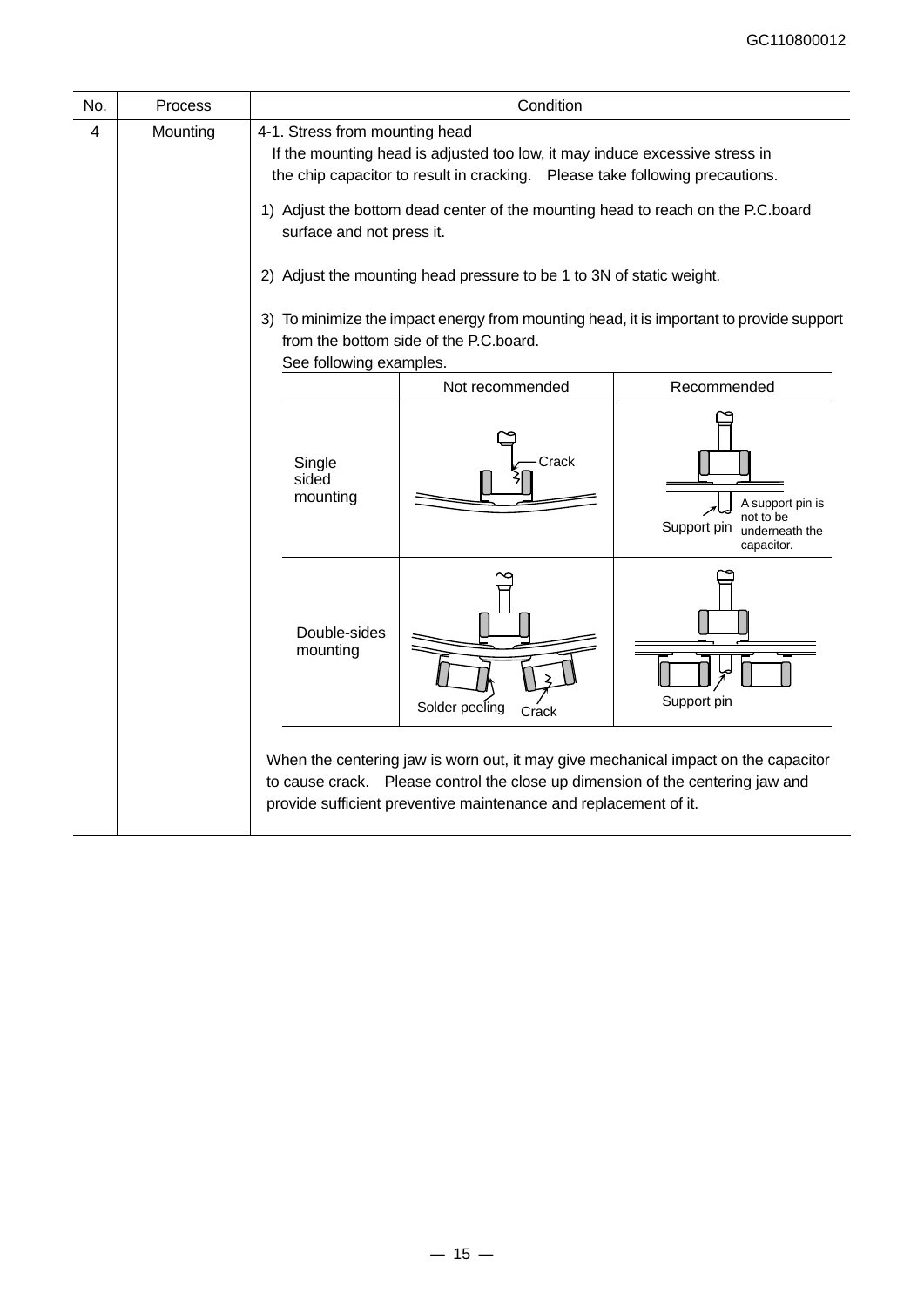| No. | Process  |                                                                                                                                                                                                                                                                                                                                                                                       | Condition                                                                                                                                                                                                                                |                                                                              |  |  |  |
|-----|----------|---------------------------------------------------------------------------------------------------------------------------------------------------------------------------------------------------------------------------------------------------------------------------------------------------------------------------------------------------------------------------------------|------------------------------------------------------------------------------------------------------------------------------------------------------------------------------------------------------------------------------------------|------------------------------------------------------------------------------|--|--|--|
| 4   | Mounting | 4-1. Stress from mounting head<br>If the mounting head is adjusted too low, it may induce excessive stress in<br>the chip capacitor to result in cracking. Please take following precautions.<br>1) Adjust the bottom dead center of the mounting head to reach on the P.C.board<br>surface and not press it.<br>2) Adjust the mounting head pressure to be 1 to 3N of static weight. |                                                                                                                                                                                                                                          |                                                                              |  |  |  |
|     |          | 3) To minimize the impact energy from mounting head, it is important to provide support<br>from the bottom side of the P.C.board.<br>See following examples.                                                                                                                                                                                                                          |                                                                                                                                                                                                                                          |                                                                              |  |  |  |
|     |          |                                                                                                                                                                                                                                                                                                                                                                                       | Not recommended                                                                                                                                                                                                                          | Recommended                                                                  |  |  |  |
|     |          | Single<br>sided<br>mounting                                                                                                                                                                                                                                                                                                                                                           | Crack                                                                                                                                                                                                                                    | A support pin is<br>not to be<br>Support pin<br>underneath the<br>capacitor. |  |  |  |
|     |          | Double-sides<br>mounting                                                                                                                                                                                                                                                                                                                                                              | Solder peeling<br>Crack                                                                                                                                                                                                                  | Support pin                                                                  |  |  |  |
|     |          |                                                                                                                                                                                                                                                                                                                                                                                       | When the centering jaw is worn out, it may give mechanical impact on the capacitor<br>to cause crack. Please control the close up dimension of the centering jaw and<br>provide sufficient preventive maintenance and replacement of it. |                                                                              |  |  |  |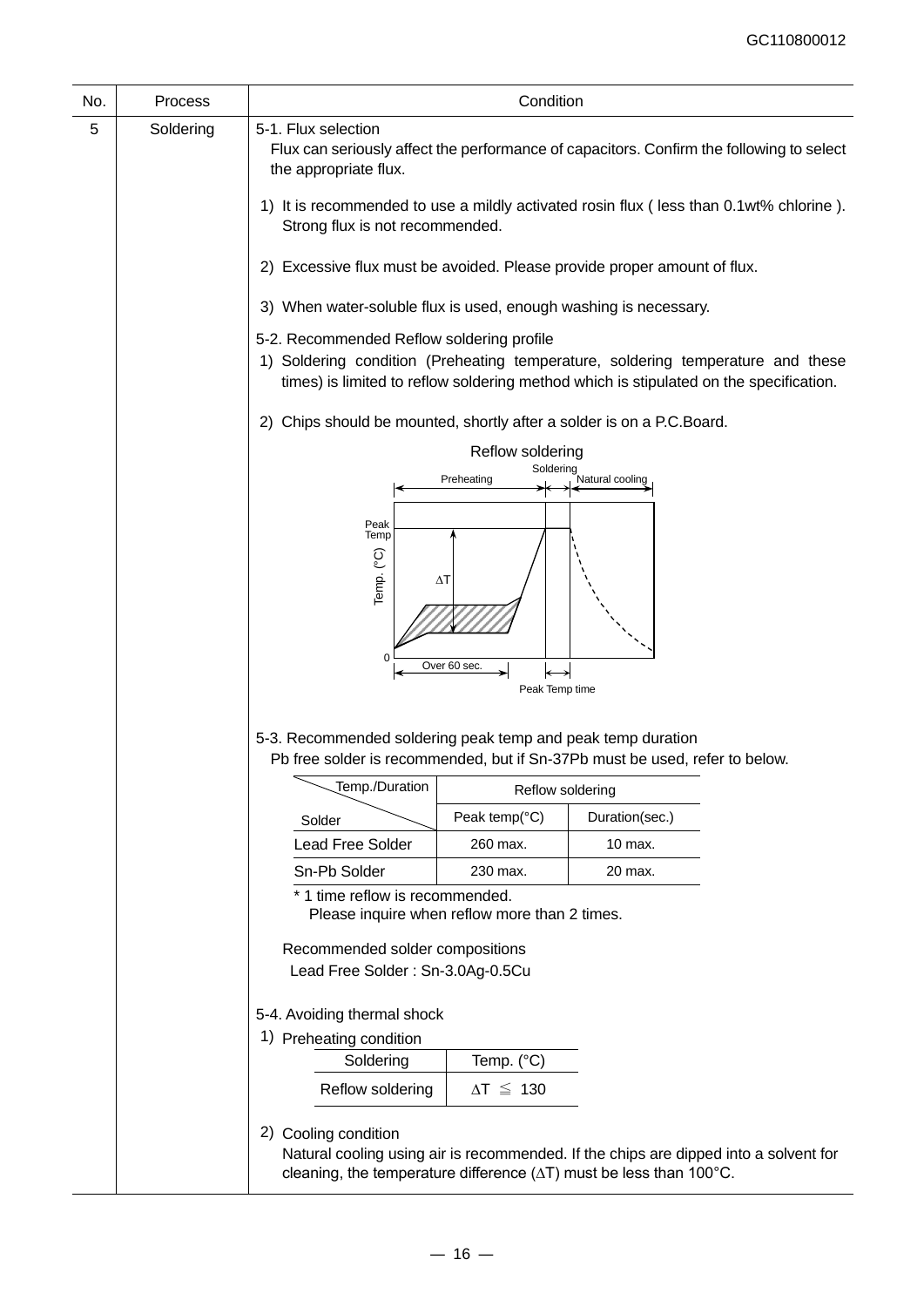| No. | Process   | Condition                                                                                                                                                                                                              |                         |                                                                                                                                                                               |  |  |  |
|-----|-----------|------------------------------------------------------------------------------------------------------------------------------------------------------------------------------------------------------------------------|-------------------------|-------------------------------------------------------------------------------------------------------------------------------------------------------------------------------|--|--|--|
| 5   | Soldering | 5-1. Flux selection<br>Flux can seriously affect the performance of capacitors. Confirm the following to select<br>the appropriate flux.                                                                               |                         |                                                                                                                                                                               |  |  |  |
|     |           | 1) It is recommended to use a mildly activated rosin flux (less than 0.1wt% chlorine).<br>Strong flux is not recommended.                                                                                              |                         |                                                                                                                                                                               |  |  |  |
|     |           | 2) Excessive flux must be avoided. Please provide proper amount of flux.                                                                                                                                               |                         |                                                                                                                                                                               |  |  |  |
|     |           | 3) When water-soluble flux is used, enough washing is necessary.                                                                                                                                                       |                         |                                                                                                                                                                               |  |  |  |
|     |           | 5-2. Recommended Reflow soldering profile<br>1) Soldering condition (Preheating temperature, soldering temperature and these<br>times) is limited to reflow soldering method which is stipulated on the specification. |                         |                                                                                                                                                                               |  |  |  |
|     |           | Chips should be mounted, shortly after a solder is on a P.C.Board.<br>(2)                                                                                                                                              |                         |                                                                                                                                                                               |  |  |  |
|     |           | Reflow soldering                                                                                                                                                                                                       |                         |                                                                                                                                                                               |  |  |  |
|     |           |                                                                                                                                                                                                                        | Soldering<br>Preheating | Natural cooling                                                                                                                                                               |  |  |  |
|     |           |                                                                                                                                                                                                                        |                         |                                                                                                                                                                               |  |  |  |
|     |           | Peak<br>Temp<br>Temp. (°C)<br>$\Delta$ T<br>0                                                                                                                                                                          |                         |                                                                                                                                                                               |  |  |  |
|     |           | Over 60 sec<br>Peak Temp time                                                                                                                                                                                          |                         |                                                                                                                                                                               |  |  |  |
|     |           |                                                                                                                                                                                                                        |                         |                                                                                                                                                                               |  |  |  |
|     |           | 5-3. Recommended soldering peak temp and peak temp duration<br>Pb free solder is recommended, but if Sn-37Pb must be used, refer to below.                                                                             |                         |                                                                                                                                                                               |  |  |  |
|     |           | Temp./Duration                                                                                                                                                                                                         | Reflow soldering        |                                                                                                                                                                               |  |  |  |
|     |           | Solder                                                                                                                                                                                                                 | Peak temp(°C)           | Duration(sec.)                                                                                                                                                                |  |  |  |
|     |           | <b>Lead Free Solder</b>                                                                                                                                                                                                | 260 max.                | 10 max.                                                                                                                                                                       |  |  |  |
|     |           | Sn-Pb Solder                                                                                                                                                                                                           | 230 max.                | 20 max.                                                                                                                                                                       |  |  |  |
|     |           | * 1 time reflow is recommended.<br>Please inquire when reflow more than 2 times.                                                                                                                                       |                         |                                                                                                                                                                               |  |  |  |
|     |           | Recommended solder compositions<br>Lead Free Solder: Sn-3.0Ag-0.5Cu                                                                                                                                                    |                         |                                                                                                                                                                               |  |  |  |
|     |           | 5-4. Avoiding thermal shock                                                                                                                                                                                            |                         |                                                                                                                                                                               |  |  |  |
|     |           | 1) Preheating condition                                                                                                                                                                                                |                         |                                                                                                                                                                               |  |  |  |
|     |           | Soldering                                                                                                                                                                                                              | Temp. (°C)              |                                                                                                                                                                               |  |  |  |
|     |           | Reflow soldering                                                                                                                                                                                                       | $\Delta T \leq 130$     |                                                                                                                                                                               |  |  |  |
|     |           | 2) Cooling condition                                                                                                                                                                                                   |                         | Natural cooling using air is recommended. If the chips are dipped into a solvent for<br>cleaning, the temperature difference $(\Delta T)$ must be less than 100 $^{\circ}$ C. |  |  |  |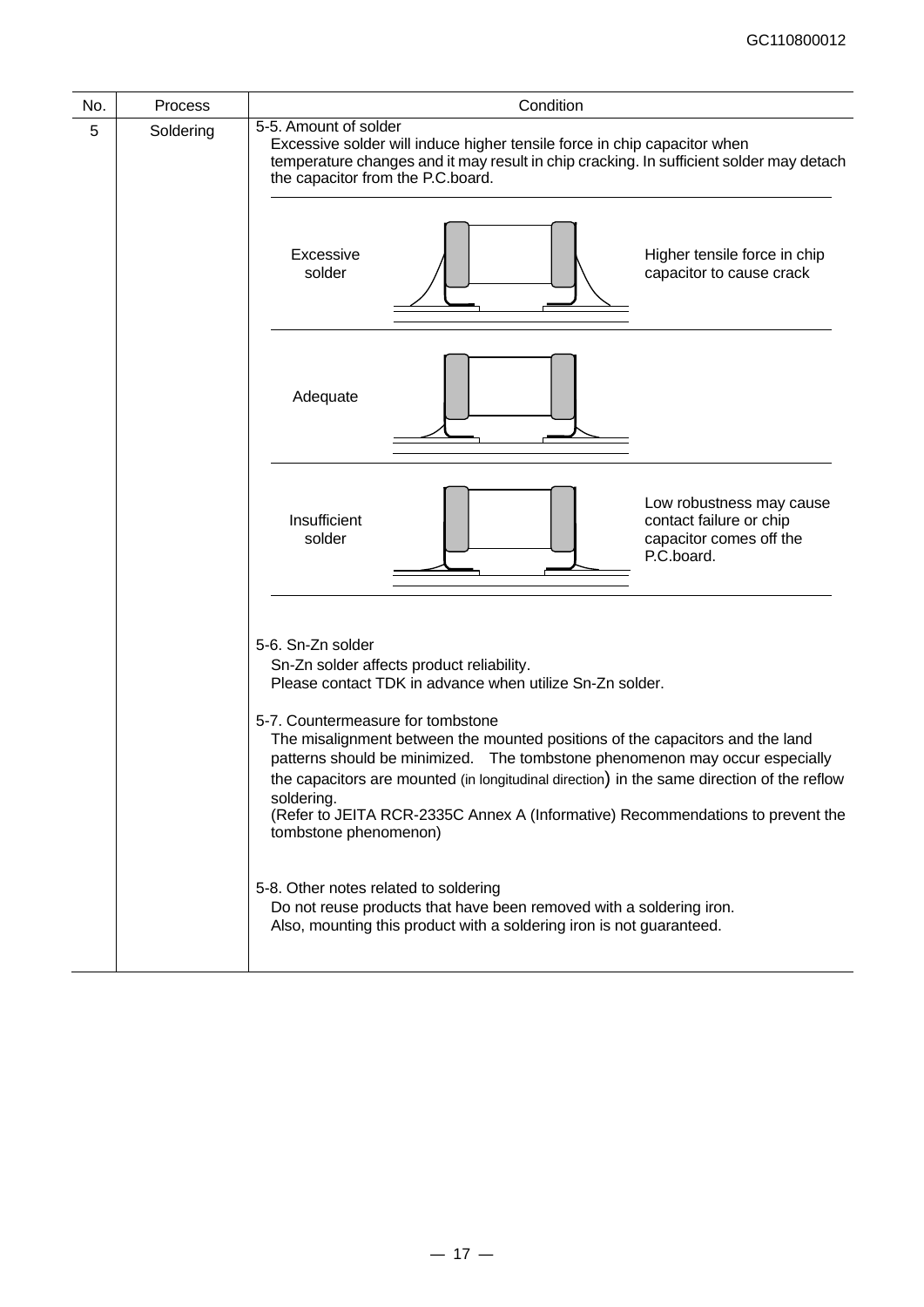| No. | <b>Process</b> | Condition                                                                                                                                                                                                                                                                                                                       |  |  |  |  |
|-----|----------------|---------------------------------------------------------------------------------------------------------------------------------------------------------------------------------------------------------------------------------------------------------------------------------------------------------------------------------|--|--|--|--|
| 5   | Soldering      | 5-5. Amount of solder<br>Excessive solder will induce higher tensile force in chip capacitor when<br>temperature changes and it may result in chip cracking. In sufficient solder may detach<br>the capacitor from the P.C.board.                                                                                               |  |  |  |  |
|     |                | Excessive<br>Higher tensile force in chip<br>solder<br>capacitor to cause crack                                                                                                                                                                                                                                                 |  |  |  |  |
|     |                | Adequate                                                                                                                                                                                                                                                                                                                        |  |  |  |  |
|     |                | Low robustness may cause<br>Insufficient<br>contact failure or chip<br>capacitor comes off the<br>solder<br>P.C.board.                                                                                                                                                                                                          |  |  |  |  |
|     |                | 5-6. Sn-Zn solder<br>Sn-Zn solder affects product reliability.<br>Please contact TDK in advance when utilize Sn-Zn solder.<br>5-7. Countermeasure for tombstone<br>The misalignment between the mounted positions of the capacitors and the land<br>patterns should be minimized. The tombstone phenomenon may occur especially |  |  |  |  |
|     |                | the capacitors are mounted (in longitudinal direction) in the same direction of the reflow<br>soldering.<br>(Refer to JEITA RCR-2335C Annex A (Informative) Recommendations to prevent the<br>tombstone phenomenon)                                                                                                             |  |  |  |  |
|     |                | 5-8. Other notes related to soldering<br>Do not reuse products that have been removed with a soldering iron.<br>Also, mounting this product with a soldering iron is not guaranteed.                                                                                                                                            |  |  |  |  |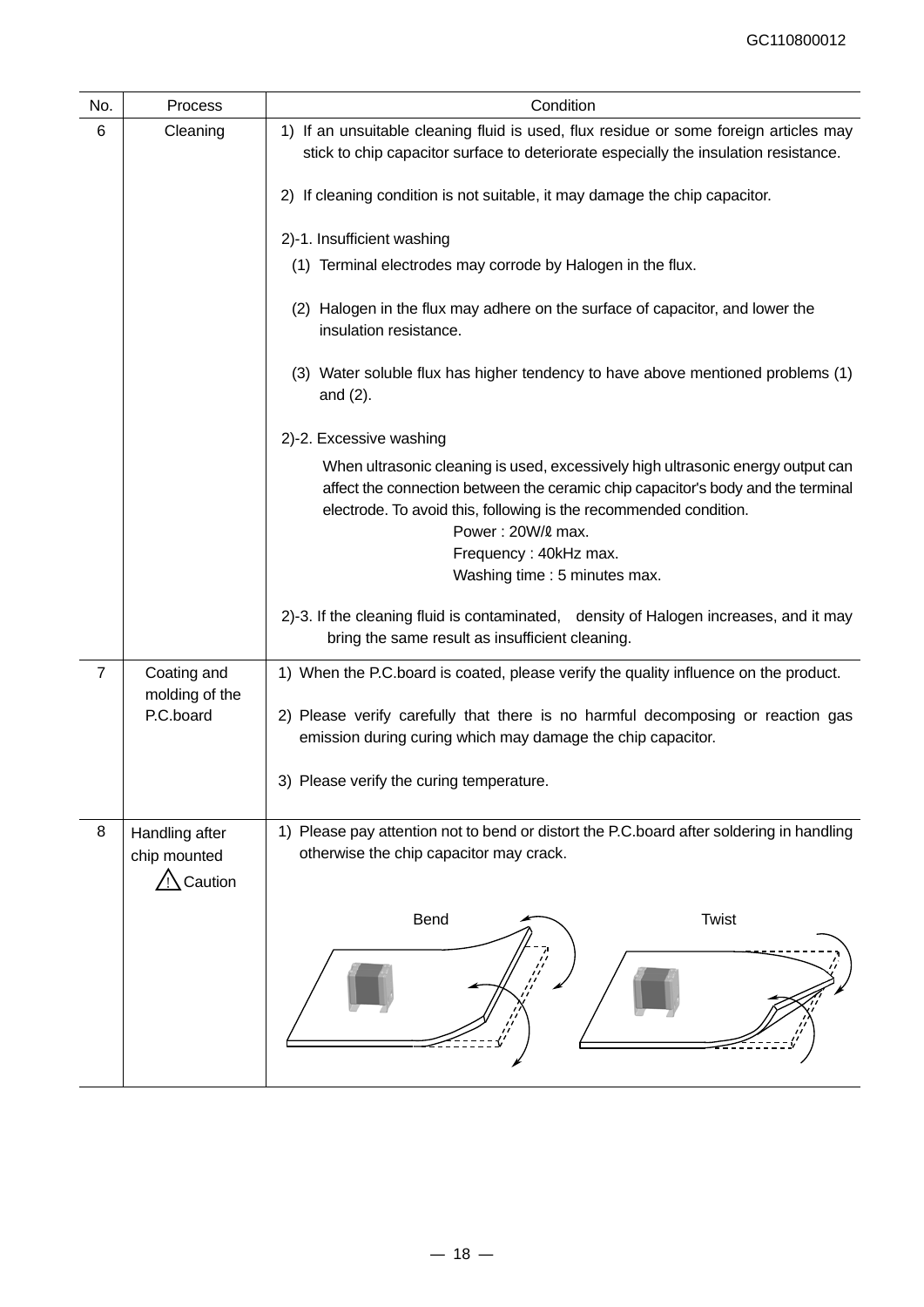| No. | Process                                               | Condition                                                                                                                                                                                                                                                                                                               |
|-----|-------------------------------------------------------|-------------------------------------------------------------------------------------------------------------------------------------------------------------------------------------------------------------------------------------------------------------------------------------------------------------------------|
| 6   | Cleaning                                              | 1) If an unsuitable cleaning fluid is used, flux residue or some foreign articles may<br>stick to chip capacitor surface to deteriorate especially the insulation resistance.                                                                                                                                           |
|     |                                                       | 2) If cleaning condition is not suitable, it may damage the chip capacitor.                                                                                                                                                                                                                                             |
|     |                                                       | 2)-1. Insufficient washing                                                                                                                                                                                                                                                                                              |
|     |                                                       | (1) Terminal electrodes may corrode by Halogen in the flux.                                                                                                                                                                                                                                                             |
|     |                                                       | (2) Halogen in the flux may adhere on the surface of capacitor, and lower the<br>insulation resistance.                                                                                                                                                                                                                 |
|     |                                                       | (3) Water soluble flux has higher tendency to have above mentioned problems (1)<br>and $(2)$ .                                                                                                                                                                                                                          |
|     |                                                       | 2)-2. Excessive washing                                                                                                                                                                                                                                                                                                 |
|     |                                                       | When ultrasonic cleaning is used, excessively high ultrasonic energy output can<br>affect the connection between the ceramic chip capacitor's body and the terminal<br>electrode. To avoid this, following is the recommended condition.<br>Power: 20W/2 max.<br>Frequency: 40kHz max.<br>Washing time : 5 minutes max. |
|     |                                                       | 2)-3. If the cleaning fluid is contaminated, density of Halogen increases, and it may<br>bring the same result as insufficient cleaning.                                                                                                                                                                                |
| 7   | Coating and                                           | 1) When the P.C.board is coated, please verify the quality influence on the product.                                                                                                                                                                                                                                    |
|     | molding of the<br>P.C.board                           | 2) Please verify carefully that there is no harmful decomposing or reaction gas<br>emission during curing which may damage the chip capacitor.                                                                                                                                                                          |
|     |                                                       | 3) Please verify the curing temperature                                                                                                                                                                                                                                                                                 |
| 8   | Handling after<br>chip mounted<br>$\bigwedge$ Caution | 1) Please pay attention not to bend or distort the P.C.board after soldering in handling<br>otherwise the chip capacitor may crack.                                                                                                                                                                                     |
|     |                                                       | <b>Twist</b><br>Bend                                                                                                                                                                                                                                                                                                    |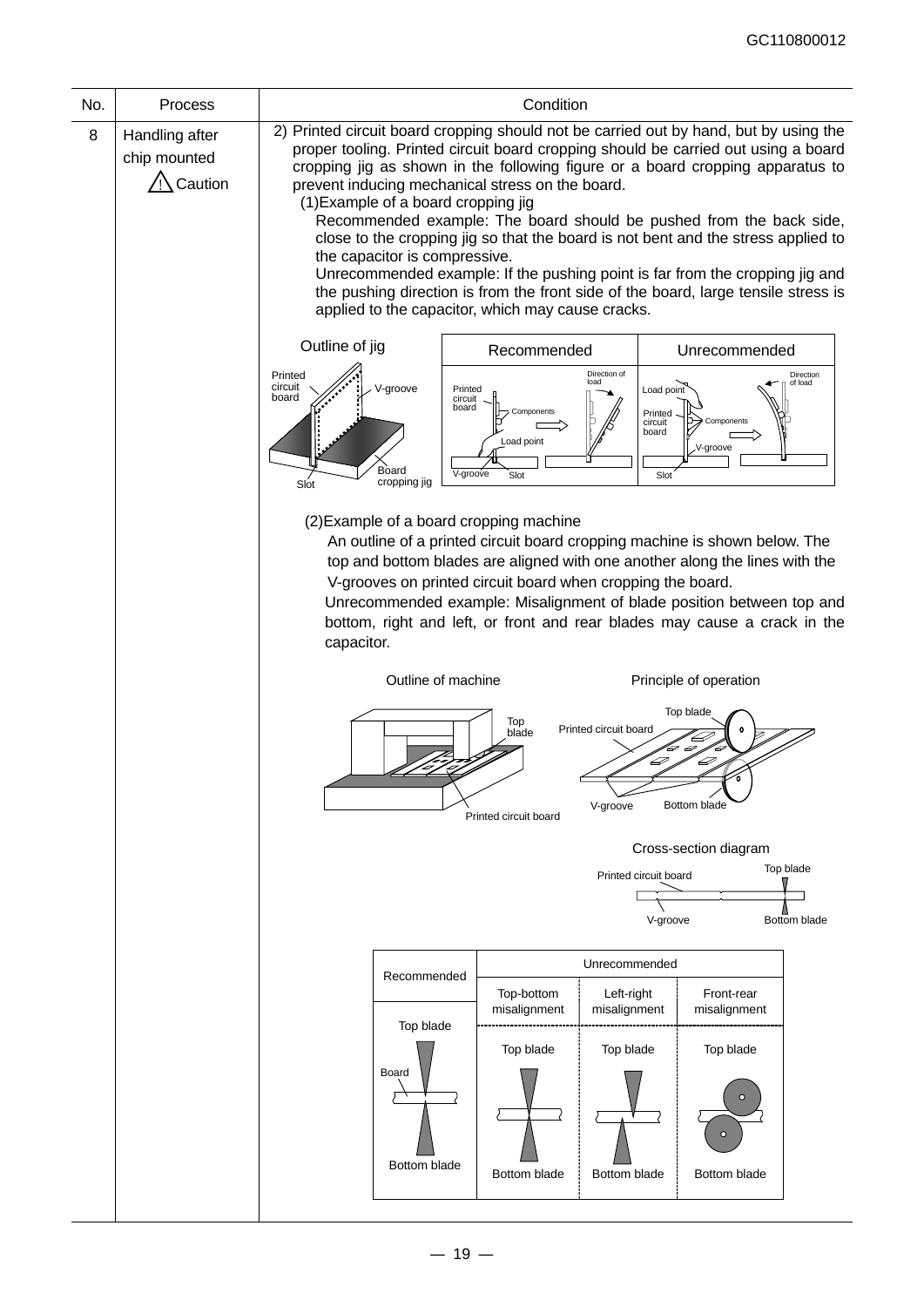| 8<br>Handling after<br>chip mounted<br>/ Caution<br>prevent inducing mechanical stress on the board.<br>(1) Example of a board cropping jig<br>the capacitor is compressive.<br>applied to the capacitor, which may cause cracks.<br>Outline of jig<br>Recommended<br>Direction of<br>Printed<br>load<br>circuit<br>V-groove<br>Printed<br>Load point<br>board<br>circuit<br>board<br>Components<br>Printed<br>circuit<br>board<br>Load point<br>Board<br>V-groove<br>Slot<br>Slot<br>cropping jig<br>Slot<br>(2) Example of a board cropping machine | Condition                                                                                                                                                                                                                                                                                                                                                                                                                                                                                                                                                                                       |  |  |  |  |  |  |
|-------------------------------------------------------------------------------------------------------------------------------------------------------------------------------------------------------------------------------------------------------------------------------------------------------------------------------------------------------------------------------------------------------------------------------------------------------------------------------------------------------------------------------------------------------|-------------------------------------------------------------------------------------------------------------------------------------------------------------------------------------------------------------------------------------------------------------------------------------------------------------------------------------------------------------------------------------------------------------------------------------------------------------------------------------------------------------------------------------------------------------------------------------------------|--|--|--|--|--|--|
|                                                                                                                                                                                                                                                                                                                                                                                                                                                                                                                                                       | 2) Printed circuit board cropping should not be carried out by hand, but by using the<br>proper tooling. Printed circuit board cropping should be carried out using a board<br>cropping jig as shown in the following figure or a board cropping apparatus to<br>Recommended example: The board should be pushed from the back side,<br>close to the cropping jig so that the board is not bent and the stress applied to<br>Unrecommended example: If the pushing point is far from the cropping jig and<br>the pushing direction is from the front side of the board, large tensile stress is |  |  |  |  |  |  |
|                                                                                                                                                                                                                                                                                                                                                                                                                                                                                                                                                       | Unrecommended                                                                                                                                                                                                                                                                                                                                                                                                                                                                                                                                                                                   |  |  |  |  |  |  |
|                                                                                                                                                                                                                                                                                                                                                                                                                                                                                                                                                       | Direction<br>of load<br>Components<br>,V-groove                                                                                                                                                                                                                                                                                                                                                                                                                                                                                                                                                 |  |  |  |  |  |  |
| capacitor.                                                                                                                                                                                                                                                                                                                                                                                                                                                                                                                                            | An outline of a printed circuit board cropping machine is shown below. The<br>top and bottom blades are aligned with one another along the lines with the<br>V-grooves on printed circuit board when cropping the board.<br>Unrecommended example: Misalignment of blade position between top and<br>bottom, right and left, or front and rear blades may cause a crack in the                                                                                                                                                                                                                  |  |  |  |  |  |  |
| Outline of machine                                                                                                                                                                                                                                                                                                                                                                                                                                                                                                                                    | Principle of operation                                                                                                                                                                                                                                                                                                                                                                                                                                                                                                                                                                          |  |  |  |  |  |  |
| Top<br>Printed circuit board<br>blade<br>D<br>V-groove<br>Printed circuit board                                                                                                                                                                                                                                                                                                                                                                                                                                                                       | Top blade<br>D<br><b>Bottom blade</b>                                                                                                                                                                                                                                                                                                                                                                                                                                                                                                                                                           |  |  |  |  |  |  |
|                                                                                                                                                                                                                                                                                                                                                                                                                                                                                                                                                       | Cross-section diagram                                                                                                                                                                                                                                                                                                                                                                                                                                                                                                                                                                           |  |  |  |  |  |  |
| Printed circuit board<br>V-groove                                                                                                                                                                                                                                                                                                                                                                                                                                                                                                                     | Top blade<br>Bottom blade                                                                                                                                                                                                                                                                                                                                                                                                                                                                                                                                                                       |  |  |  |  |  |  |
| Unrecommended                                                                                                                                                                                                                                                                                                                                                                                                                                                                                                                                         |                                                                                                                                                                                                                                                                                                                                                                                                                                                                                                                                                                                                 |  |  |  |  |  |  |
| Recommended<br>Top-bottom<br>Left-right<br>misalignment<br>misalignment<br>Top blade                                                                                                                                                                                                                                                                                                                                                                                                                                                                  | Front-rear<br>misalignment                                                                                                                                                                                                                                                                                                                                                                                                                                                                                                                                                                      |  |  |  |  |  |  |
| Top blade<br>Top blade<br>Board<br>Bottom blade<br>Bottom blade<br><b>Bottom blade</b>                                                                                                                                                                                                                                                                                                                                                                                                                                                                | Top blade<br>$\Omega$<br>Bottom blade                                                                                                                                                                                                                                                                                                                                                                                                                                                                                                                                                           |  |  |  |  |  |  |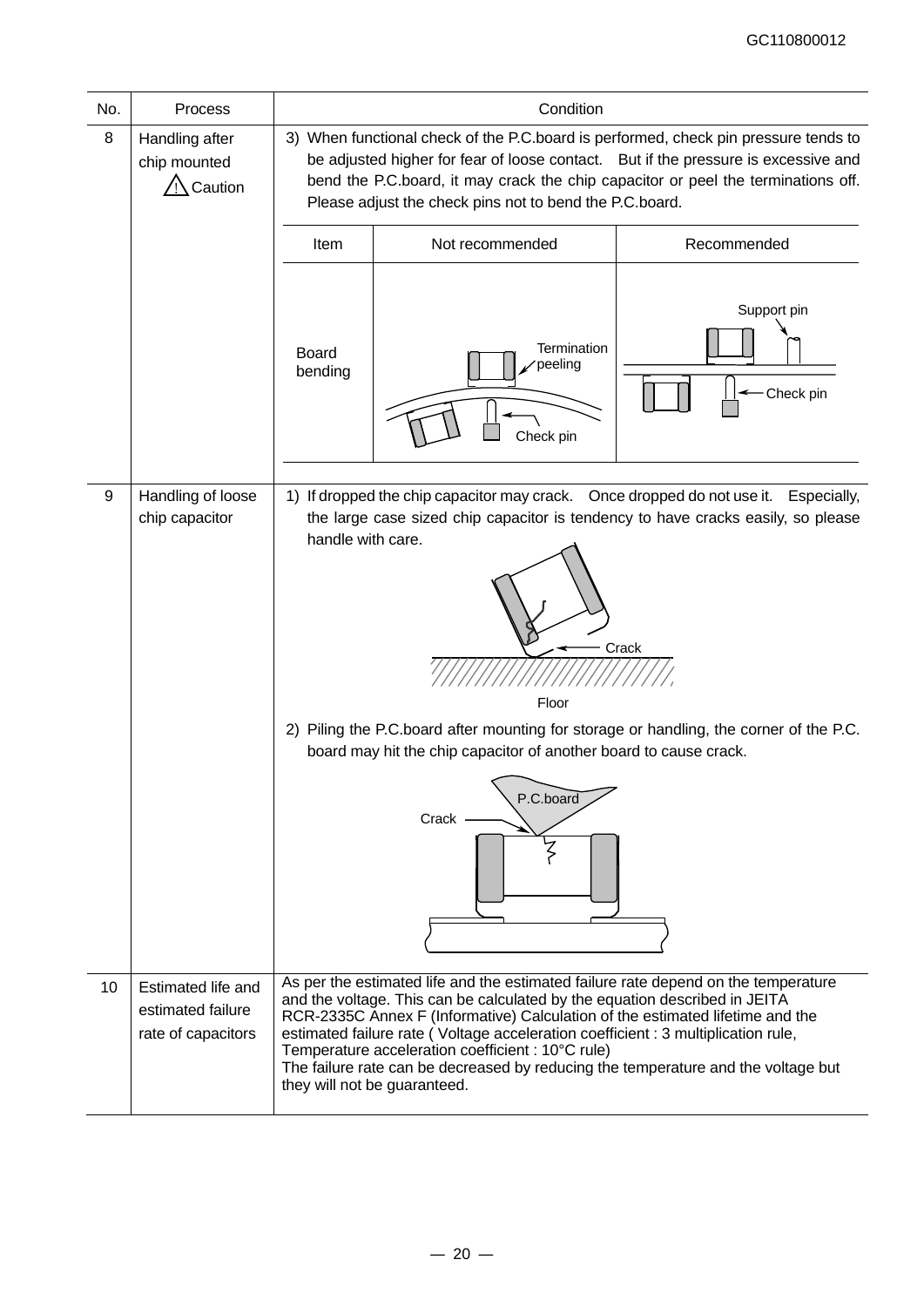| No.              | Process                                                       | Condition                                                                                                                                                                                                                                                                                                                                                                                          |                                                                                                                                                                                                                                                                                                                                                                                                                            |                          |  |  |  |  |
|------------------|---------------------------------------------------------------|----------------------------------------------------------------------------------------------------------------------------------------------------------------------------------------------------------------------------------------------------------------------------------------------------------------------------------------------------------------------------------------------------|----------------------------------------------------------------------------------------------------------------------------------------------------------------------------------------------------------------------------------------------------------------------------------------------------------------------------------------------------------------------------------------------------------------------------|--------------------------|--|--|--|--|
| 8                | Handling after<br>chip mounted<br>Caution                     | 3) When functional check of the P.C.board is performed, check pin pressure tends to<br>be adjusted higher for fear of loose contact. But if the pressure is excessive and<br>bend the P.C.board, it may crack the chip capacitor or peel the terminations off.<br>Please adjust the check pins not to bend the P.C.board.                                                                          |                                                                                                                                                                                                                                                                                                                                                                                                                            |                          |  |  |  |  |
|                  |                                                               | Recommended<br>Not recommended<br>Item                                                                                                                                                                                                                                                                                                                                                             |                                                                                                                                                                                                                                                                                                                                                                                                                            |                          |  |  |  |  |
|                  |                                                               | <b>Board</b><br>bending                                                                                                                                                                                                                                                                                                                                                                            | Termination<br>peeling<br>Check pin                                                                                                                                                                                                                                                                                                                                                                                        | Support pin<br>Check pin |  |  |  |  |
| $\boldsymbol{9}$ | Handling of loose                                             |                                                                                                                                                                                                                                                                                                                                                                                                    | 1) If dropped the chip capacitor may crack. Once dropped do not use it.                                                                                                                                                                                                                                                                                                                                                    | Especially,              |  |  |  |  |
|                  | chip capacitor                                                | the large case sized chip capacitor is tendency to have cracks easily, so please<br>handle with care.<br>Crack<br>Floor<br>2) Piling the P.C.board after mounting for storage or handling, the corner of the P.C.<br>board may hit the chip capacitor of another board to cause crack.<br>P.C.board<br>Crack<br>As per the estimated life and the estimated failure rate depend on the temperature |                                                                                                                                                                                                                                                                                                                                                                                                                            |                          |  |  |  |  |
| 10               | Estimated life and<br>estimated failure<br>rate of capacitors |                                                                                                                                                                                                                                                                                                                                                                                                    | and the voltage. This can be calculated by the equation described in JEITA<br>RCR-2335C Annex F (Informative) Calculation of the estimated lifetime and the<br>estimated failure rate (Voltage acceleration coefficient : 3 multiplication rule,<br>Temperature acceleration coefficient : 10°C rule)<br>The failure rate can be decreased by reducing the temperature and the voltage but<br>they will not be guaranteed. |                          |  |  |  |  |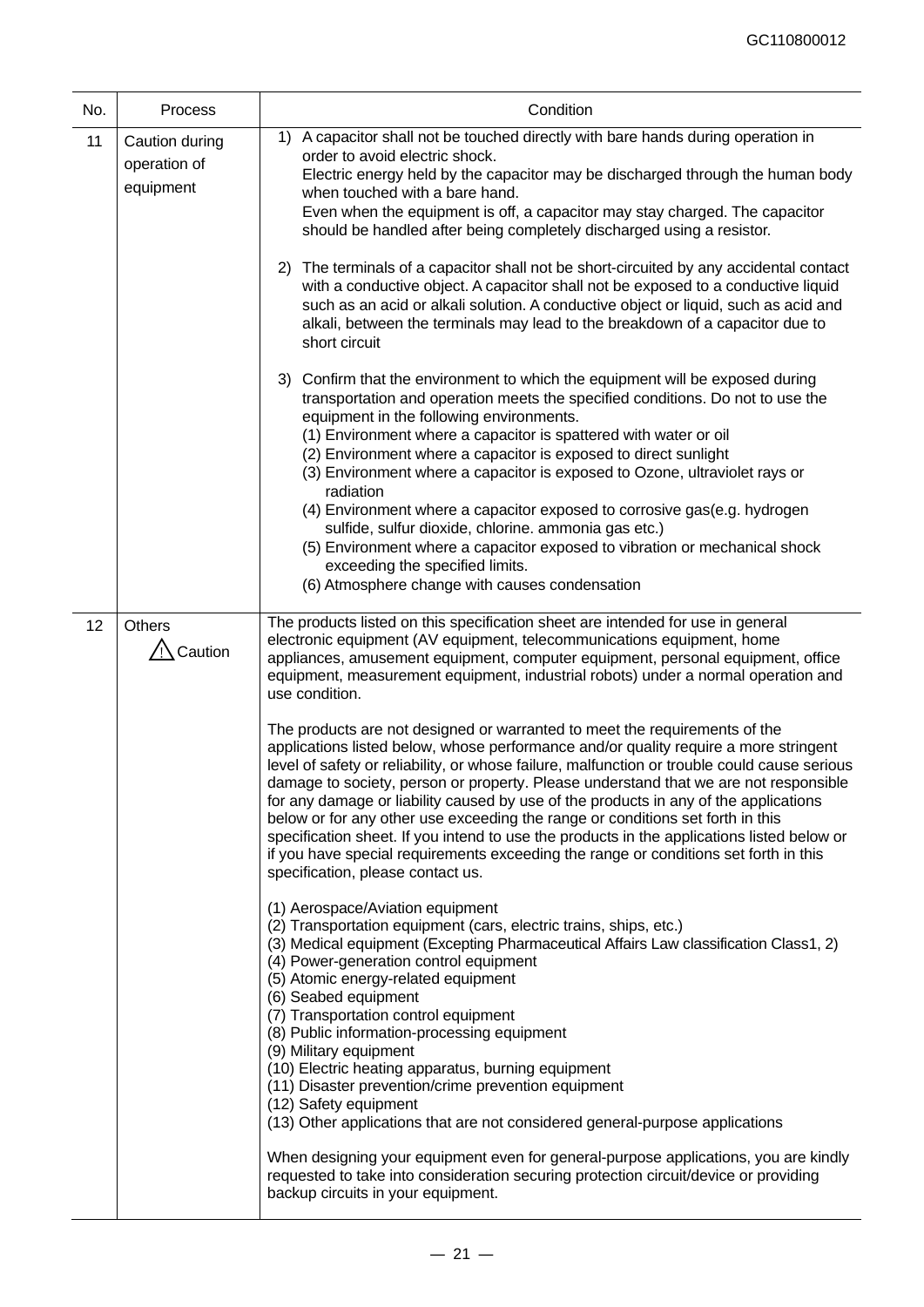| No. | Process                                     | Condition                                                                                                                                                                                                                                                                                                                                                                                                                                                                                                                                                                                                                                                                                                                                                                                                                                                                                                                                                                                                                                                                                                                                                                                                                                                                                                                                                                                                 |
|-----|---------------------------------------------|-----------------------------------------------------------------------------------------------------------------------------------------------------------------------------------------------------------------------------------------------------------------------------------------------------------------------------------------------------------------------------------------------------------------------------------------------------------------------------------------------------------------------------------------------------------------------------------------------------------------------------------------------------------------------------------------------------------------------------------------------------------------------------------------------------------------------------------------------------------------------------------------------------------------------------------------------------------------------------------------------------------------------------------------------------------------------------------------------------------------------------------------------------------------------------------------------------------------------------------------------------------------------------------------------------------------------------------------------------------------------------------------------------------|
| 11  | Caution during<br>operation of<br>equipment | A capacitor shall not be touched directly with bare hands during operation in<br>1)<br>order to avoid electric shock.<br>Electric energy held by the capacitor may be discharged through the human body<br>when touched with a bare hand.<br>Even when the equipment is off, a capacitor may stay charged. The capacitor<br>should be handled after being completely discharged using a resistor.                                                                                                                                                                                                                                                                                                                                                                                                                                                                                                                                                                                                                                                                                                                                                                                                                                                                                                                                                                                                         |
|     |                                             | 2) The terminals of a capacitor shall not be short-circuited by any accidental contact<br>with a conductive object. A capacitor shall not be exposed to a conductive liquid<br>such as an acid or alkali solution. A conductive object or liquid, such as acid and<br>alkali, between the terminals may lead to the breakdown of a capacitor due to<br>short circuit                                                                                                                                                                                                                                                                                                                                                                                                                                                                                                                                                                                                                                                                                                                                                                                                                                                                                                                                                                                                                                      |
|     |                                             | 3) Confirm that the environment to which the equipment will be exposed during<br>transportation and operation meets the specified conditions. Do not to use the<br>equipment in the following environments.<br>(1) Environment where a capacitor is spattered with water or oil<br>(2) Environment where a capacitor is exposed to direct sunlight<br>(3) Environment where a capacitor is exposed to Ozone, ultraviolet rays or<br>radiation<br>(4) Environment where a capacitor exposed to corrosive gas(e.g. hydrogen<br>sulfide, sulfur dioxide, chlorine. ammonia gas etc.)<br>(5) Environment where a capacitor exposed to vibration or mechanical shock<br>exceeding the specified limits.<br>(6) Atmosphere change with causes condensation                                                                                                                                                                                                                                                                                                                                                                                                                                                                                                                                                                                                                                                      |
| 12  | <b>Others</b><br>Caution                    | The products listed on this specification sheet are intended for use in general<br>electronic equipment (AV equipment, telecommunications equipment, home<br>appliances, amusement equipment, computer equipment, personal equipment, office<br>equipment, measurement equipment, industrial robots) under a normal operation and<br>use condition.<br>The products are not designed or warranted to meet the requirements of the<br>applications listed below, whose performance and/or quality require a more stringent<br>level of safety or reliability, or whose failure, malfunction or trouble could cause serious<br>damage to society, person or property. Please understand that we are not responsible<br>for any damage or liability caused by use of the products in any of the applications<br>below or for any other use exceeding the range or conditions set forth in this<br>specification sheet. If you intend to use the products in the applications listed below or<br>if you have special requirements exceeding the range or conditions set forth in this<br>specification, please contact us.<br>(1) Aerospace/Aviation equipment<br>(2) Transportation equipment (cars, electric trains, ships, etc.)<br>(3) Medical equipment (Excepting Pharmaceutical Affairs Law classification Class1, 2)<br>(4) Power-generation control equipment<br>(5) Atomic energy-related equipment |
|     |                                             | (6) Seabed equipment<br>(7) Transportation control equipment<br>(8) Public information-processing equipment<br>(9) Military equipment<br>(10) Electric heating apparatus, burning equipment<br>(11) Disaster prevention/crime prevention equipment<br>(12) Safety equipment<br>(13) Other applications that are not considered general-purpose applications<br>When designing your equipment even for general-purpose applications, you are kindly<br>requested to take into consideration securing protection circuit/device or providing<br>backup circuits in your equipment.                                                                                                                                                                                                                                                                                                                                                                                                                                                                                                                                                                                                                                                                                                                                                                                                                          |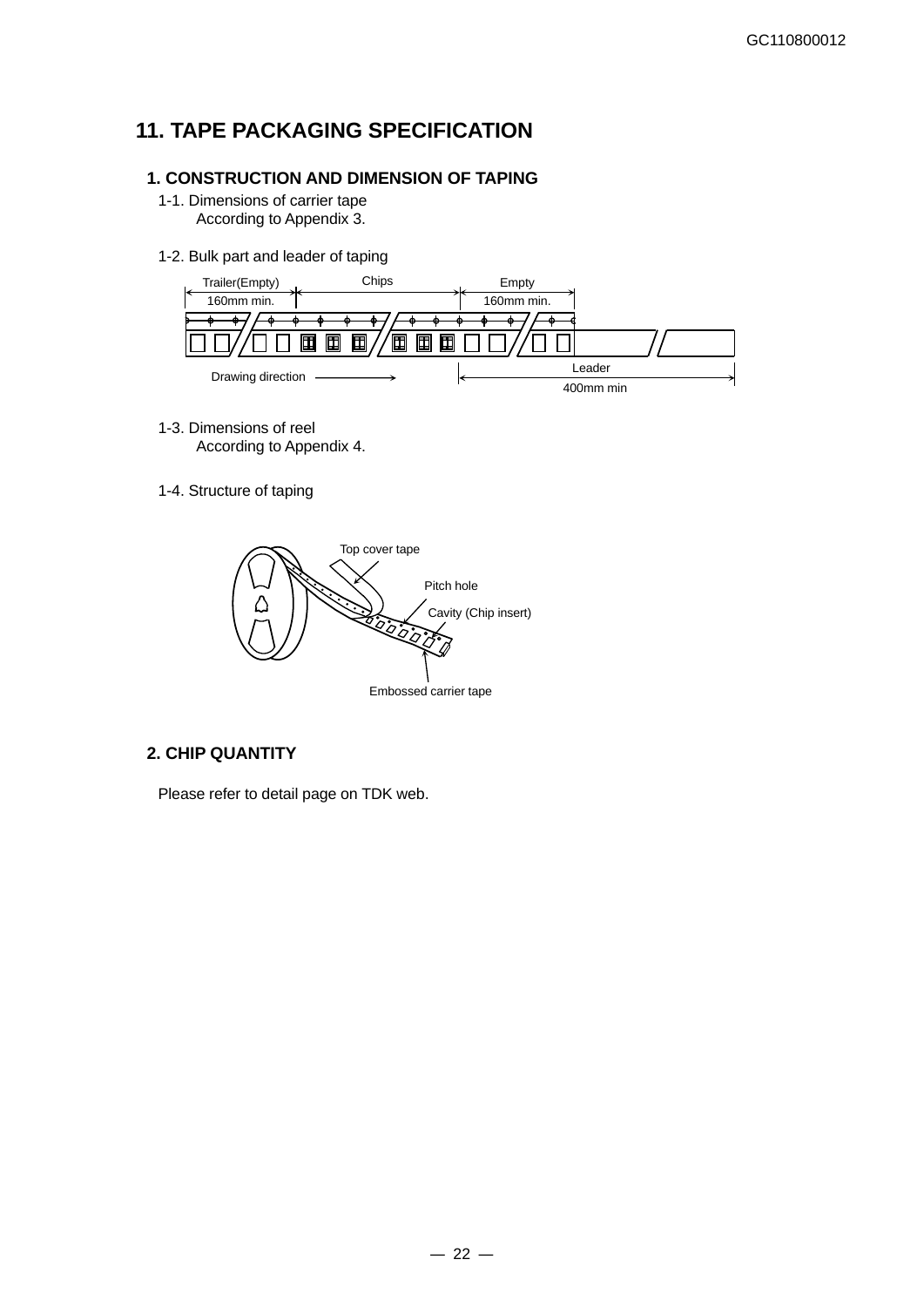# **11. TAPE PACKAGING SPECIFICATION**

### **1. CONSTRUCTION AND DIMENSION OF TAPING**

- 1-1. Dimensions of carrier tape According to Appendix 3.
- 1-2. Bulk part and leader of taping



- 1-3. Dimensions of reel According to Appendix 4.
- 1-4. Structure of taping



### **2. CHIP QUANTITY**

Please refer to detail page on TDK web.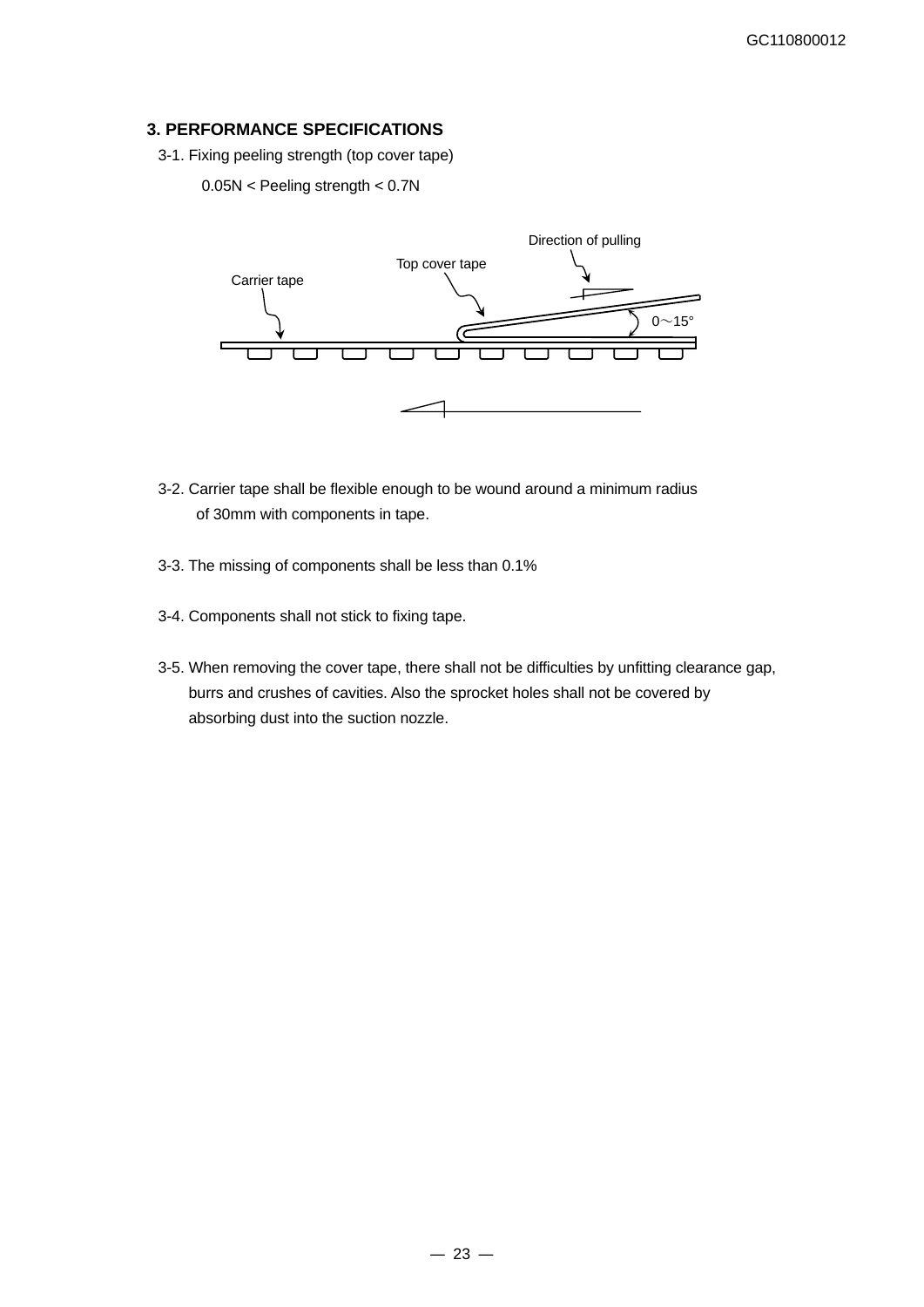### **3. PERFORMANCE SPECIFICATIONS**

3-1. Fixing peeling strength (top cover tape)

#### 0.05N < Peeling strength < 0.7N



- 3-2. Carrier tape shall be flexible enough to be wound around a minimum radius of 30mm with components in tape.
- 3-3. The missing of components shall be less than 0.1%
- 3-4. Components shall not stick to fixing tape.
- 3-5. When removing the cover tape, there shall not be difficulties by unfitting clearance gap, burrs and crushes of cavities. Also the sprocket holes shall not be covered by absorbing dust into the suction nozzle.